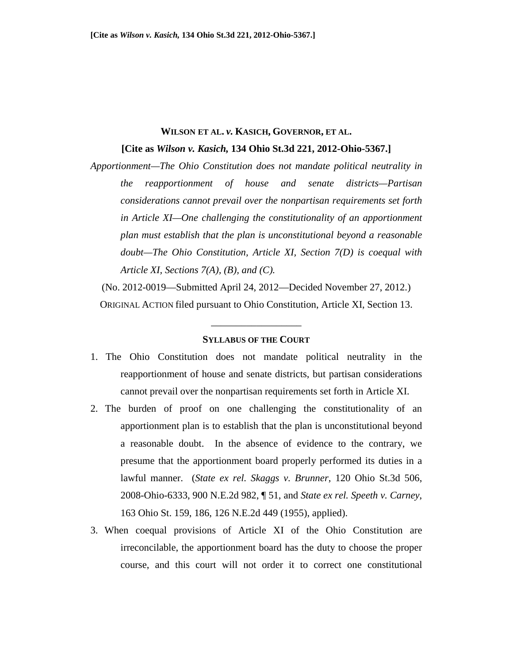# **WILSON ET AL.** *v.* **KASICH, GOVERNOR, ET AL.**

**[Cite as** *Wilson v. Kasich,* **134 Ohio St.3d 221, 2012-Ohio-5367.]** 

*Apportionment—The Ohio Constitution does not mandate political neutrality in the reapportionment of house and senate districts—Partisan considerations cannot prevail over the nonpartisan requirements set forth in Article XI—One challenging the constitutionality of an apportionment plan must establish that the plan is unconstitutional beyond a reasonable doubt—The Ohio Constitution, Article XI, Section 7(D) is coequal with Article XI, Sections 7(A), (B), and (C).* 

(No. 2012-0019—Submitted April 24, 2012—Decided November 27, 2012.) ORIGINAL ACTION filed pursuant to Ohio Constitution, Article XI, Section 13.

#### **SYLLABUS OF THE COURT**

\_\_\_\_\_\_\_\_\_\_\_\_\_\_\_\_\_\_

- 1. The Ohio Constitution does not mandate political neutrality in the reapportionment of house and senate districts, but partisan considerations cannot prevail over the nonpartisan requirements set forth in Article XI.
- 2. The burden of proof on one challenging the constitutionality of an apportionment plan is to establish that the plan is unconstitutional beyond a reasonable doubt. In the absence of evidence to the contrary, we presume that the apportionment board properly performed its duties in a lawful manner. (*State ex rel. Skaggs v. Brunner*, 120 Ohio St.3d 506, 2008-Ohio-6333, 900 N.E.2d 982, ¶ 51, and *State ex rel. Speeth v. Carney*, 163 Ohio St. 159, 186, 126 N.E.2d 449 (1955), applied).
- 3. When coequal provisions of Article XI of the Ohio Constitution are irreconcilable, the apportionment board has the duty to choose the proper course, and this court will not order it to correct one constitutional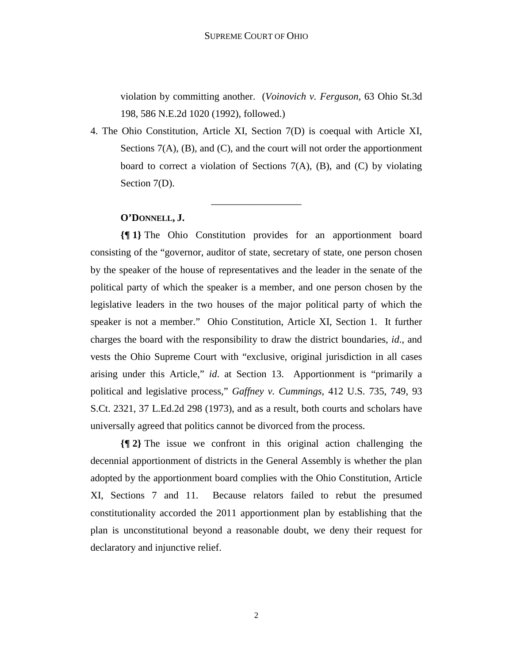violation by committing another. (*Voinovich v. Ferguson*, 63 Ohio St.3d 198, 586 N.E.2d 1020 (1992), followed.)

4. The Ohio Constitution, Article XI, Section 7(D) is coequal with Article XI, Sections  $7(A)$ ,  $(B)$ , and  $(C)$ , and the court will not order the apportionment board to correct a violation of Sections  $7(A)$ , (B), and (C) by violating Section 7(D).

\_\_\_\_\_\_\_\_\_\_\_\_\_\_\_\_\_\_

# **O'DONNELL, J.**

**{¶ 1}** The Ohio Constitution provides for an apportionment board consisting of the "governor, auditor of state, secretary of state, one person chosen by the speaker of the house of representatives and the leader in the senate of the political party of which the speaker is a member, and one person chosen by the legislative leaders in the two houses of the major political party of which the speaker is not a member." Ohio Constitution, Article XI, Section 1. It further charges the board with the responsibility to draw the district boundaries, *id*., and vests the Ohio Supreme Court with "exclusive, original jurisdiction in all cases arising under this Article," *id*. at Section 13. Apportionment is "primarily a political and legislative process," *Gaffney v. Cummings*, 412 U.S. 735, 749, 93 S.Ct. 2321, 37 L.Ed.2d 298 (1973), and as a result, both courts and scholars have universally agreed that politics cannot be divorced from the process.

**{¶ 2}** The issue we confront in this original action challenging the decennial apportionment of districts in the General Assembly is whether the plan adopted by the apportionment board complies with the Ohio Constitution, Article XI, Sections 7 and 11. Because relators failed to rebut the presumed constitutionality accorded the 2011 apportionment plan by establishing that the plan is unconstitutional beyond a reasonable doubt, we deny their request for declaratory and injunctive relief.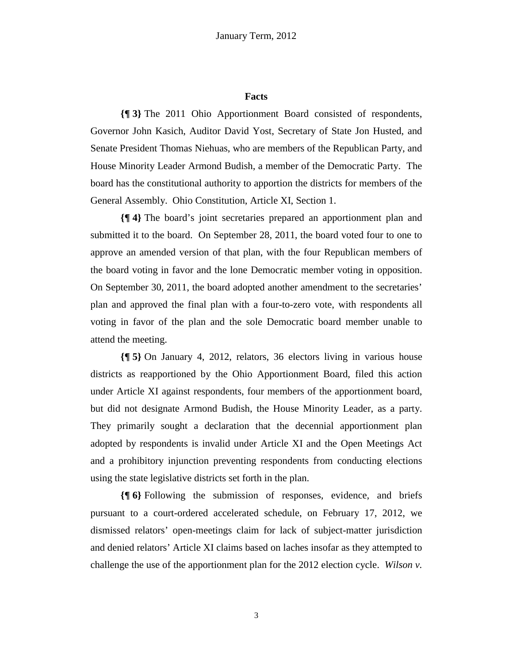#### **Facts**

**{¶ 3}** The 2011 Ohio Apportionment Board consisted of respondents, Governor John Kasich, Auditor David Yost, Secretary of State Jon Husted, and Senate President Thomas Niehuas, who are members of the Republican Party, and House Minority Leader Armond Budish, a member of the Democratic Party. The board has the constitutional authority to apportion the districts for members of the General Assembly. Ohio Constitution, Article XI, Section 1.

**{¶ 4}** The board's joint secretaries prepared an apportionment plan and submitted it to the board. On September 28, 2011, the board voted four to one to approve an amended version of that plan, with the four Republican members of the board voting in favor and the lone Democratic member voting in opposition. On September 30, 2011, the board adopted another amendment to the secretaries' plan and approved the final plan with a four-to-zero vote, with respondents all voting in favor of the plan and the sole Democratic board member unable to attend the meeting.

**{¶ 5}** On January 4, 2012, relators, 36 electors living in various house districts as reapportioned by the Ohio Apportionment Board, filed this action under Article XI against respondents, four members of the apportionment board, but did not designate Armond Budish, the House Minority Leader, as a party. They primarily sought a declaration that the decennial apportionment plan adopted by respondents is invalid under Article XI and the Open Meetings Act and a prohibitory injunction preventing respondents from conducting elections using the state legislative districts set forth in the plan.

**{¶ 6}** Following the submission of responses, evidence, and briefs pursuant to a court-ordered accelerated schedule, on February 17, 2012, we dismissed relators' open-meetings claim for lack of subject-matter jurisdiction and denied relators' Article XI claims based on laches insofar as they attempted to challenge the use of the apportionment plan for the 2012 election cycle. *Wilson v.*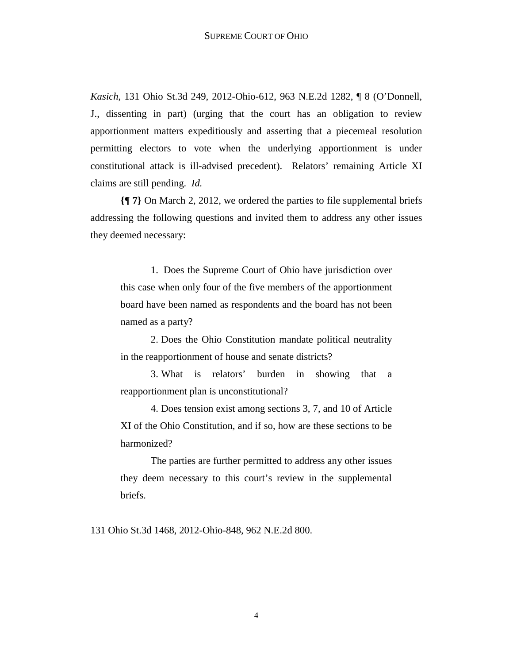*Kasich*, 131 Ohio St.3d 249, 2012-Ohio-612, 963 N.E.2d 1282, ¶ 8 (O'Donnell, J., dissenting in part) (urging that the court has an obligation to review apportionment matters expeditiously and asserting that a piecemeal resolution permitting electors to vote when the underlying apportionment is under constitutional attack is ill-advised precedent). Relators' remaining Article XI claims are still pending. *Id.* 

**{¶ 7}** On March 2, 2012, we ordered the parties to file supplemental briefs addressing the following questions and invited them to address any other issues they deemed necessary:

1. Does the Supreme Court of Ohio have jurisdiction over this case when only four of the five members of the apportionment board have been named as respondents and the board has not been named as a party?

2. Does the Ohio Constitution mandate political neutrality in the reapportionment of house and senate districts?

3. What is relators' burden in showing that a reapportionment plan is unconstitutional?

4. Does tension exist among sections 3, 7, and 10 of Article XI of the Ohio Constitution, and if so, how are these sections to be harmonized?

The parties are further permitted to address any other issues they deem necessary to this court's review in the supplemental briefs.

131 Ohio St.3d 1468, 2012-Ohio-848, 962 N.E.2d 800.

4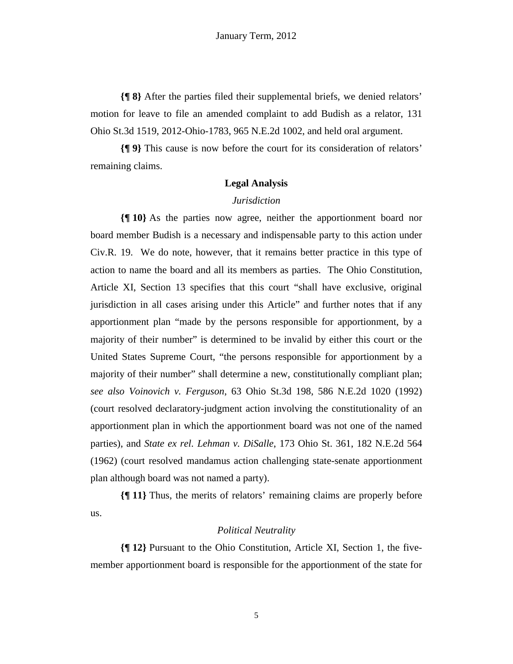**{¶ 8}** After the parties filed their supplemental briefs, we denied relators' motion for leave to file an amended complaint to add Budish as a relator, 131 Ohio St.3d 1519, 2012-Ohio-1783, 965 N.E.2d 1002, and held oral argument.

**{¶ 9}** This cause is now before the court for its consideration of relators' remaining claims.

## **Legal Analysis**

## *Jurisdiction*

**{¶ 10}** As the parties now agree, neither the apportionment board nor board member Budish is a necessary and indispensable party to this action under Civ.R. 19. We do note, however, that it remains better practice in this type of action to name the board and all its members as parties. The Ohio Constitution, Article XI, Section 13 specifies that this court "shall have exclusive, original jurisdiction in all cases arising under this Article" and further notes that if any apportionment plan "made by the persons responsible for apportionment, by a majority of their number" is determined to be invalid by either this court or the United States Supreme Court, "the persons responsible for apportionment by a majority of their number" shall determine a new, constitutionally compliant plan; *see also Voinovich v. Ferguson*, 63 Ohio St.3d 198, 586 N.E.2d 1020 (1992) (court resolved declaratory-judgment action involving the constitutionality of an apportionment plan in which the apportionment board was not one of the named parties), and *State ex rel. Lehman v. DiSalle*, 173 Ohio St. 361, 182 N.E.2d 564 (1962) (court resolved mandamus action challenging state-senate apportionment plan although board was not named a party).

**{¶ 11}** Thus, the merits of relators' remaining claims are properly before us.

## *Political Neutrality*

**{¶ 12}** Pursuant to the Ohio Constitution, Article XI, Section 1, the fivemember apportionment board is responsible for the apportionment of the state for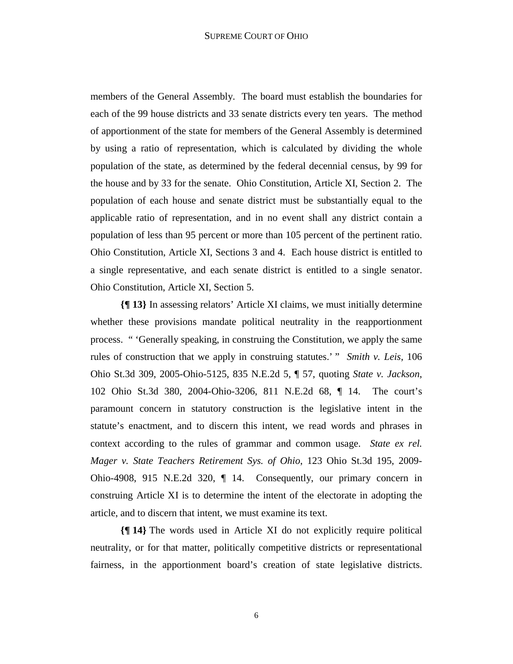members of the General Assembly. The board must establish the boundaries for each of the 99 house districts and 33 senate districts every ten years. The method of apportionment of the state for members of the General Assembly is determined by using a ratio of representation, which is calculated by dividing the whole population of the state, as determined by the federal decennial census, by 99 for the house and by 33 for the senate. Ohio Constitution, Article XI, Section 2. The population of each house and senate district must be substantially equal to the applicable ratio of representation, and in no event shall any district contain a population of less than 95 percent or more than 105 percent of the pertinent ratio. Ohio Constitution, Article XI, Sections 3 and 4. Each house district is entitled to a single representative, and each senate district is entitled to a single senator. Ohio Constitution, Article XI, Section 5.

**{¶ 13}** In assessing relators' Article XI claims, we must initially determine whether these provisions mandate political neutrality in the reapportionment process. " 'Generally speaking, in construing the Constitution, we apply the same rules of construction that we apply in construing statutes.' " *Smith v. Leis*, 106 Ohio St.3d 309, 2005-Ohio-5125, 835 N.E.2d 5, ¶ 57, quoting *State v. Jackson*, 102 Ohio St.3d 380, 2004-Ohio-3206, 811 N.E.2d 68, ¶ 14. The court's paramount concern in statutory construction is the legislative intent in the statute's enactment, and to discern this intent, we read words and phrases in context according to the rules of grammar and common usage. *State ex rel. Mager v. State Teachers Retirement Sys. of Ohio*, 123 Ohio St.3d 195, 2009- Ohio-4908, 915 N.E.2d 320, ¶ 14. Consequently, our primary concern in construing Article XI is to determine the intent of the electorate in adopting the article, and to discern that intent, we must examine its text.

**{¶ 14}** The words used in Article XI do not explicitly require political neutrality, or for that matter, politically competitive districts or representational fairness, in the apportionment board's creation of state legislative districts.

6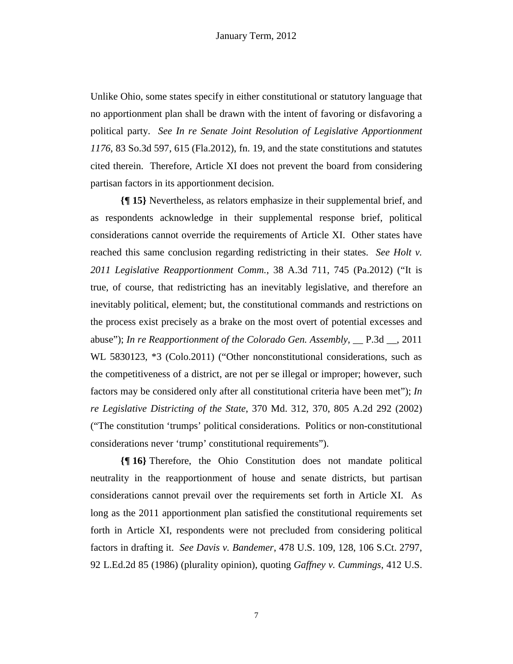Unlike Ohio, some states specify in either constitutional or statutory language that no apportionment plan shall be drawn with the intent of favoring or disfavoring a political party. *See In re Senate Joint Resolution of Legislative Apportionment 1176*, 83 So.3d 597, 615 (Fla.2012), fn. 19, and the state constitutions and statutes cited therein. Therefore, Article XI does not prevent the board from considering partisan factors in its apportionment decision.

**{¶ 15}** Nevertheless, as relators emphasize in their supplemental brief, and as respondents acknowledge in their supplemental response brief, political considerations cannot override the requirements of Article XI. Other states have reached this same conclusion regarding redistricting in their states. *See Holt v. 2011 Legislative Reapportionment Comm.*, 38 A.3d 711, 745 (Pa.2012) ("It is true, of course, that redistricting has an inevitably legislative, and therefore an inevitably political, element; but, the constitutional commands and restrictions on the process exist precisely as a brake on the most overt of potential excesses and abuse"); *In re Reapportionment of the Colorado Gen. Assembly*, \_\_ P.3d \_\_, 2011 WL 5830123, \*3 (Colo.2011) ("Other nonconstitutional considerations, such as the competitiveness of a district, are not per se illegal or improper; however, such factors may be considered only after all constitutional criteria have been met"); *In re Legislative Districting of the State*, 370 Md. 312, 370, 805 A.2d 292 (2002) ("The constitution 'trumps' political considerations. Politics or non-constitutional considerations never 'trump' constitutional requirements").

**{¶ 16}** Therefore, the Ohio Constitution does not mandate political neutrality in the reapportionment of house and senate districts, but partisan considerations cannot prevail over the requirements set forth in Article XI. As long as the 2011 apportionment plan satisfied the constitutional requirements set forth in Article XI, respondents were not precluded from considering political factors in drafting it. *See Davis v. Bandemer*, 478 U.S. 109, 128, 106 S.Ct. 2797, 92 L.Ed.2d 85 (1986) (plurality opinion), quoting *Gaffney v. Cummings*, 412 U.S.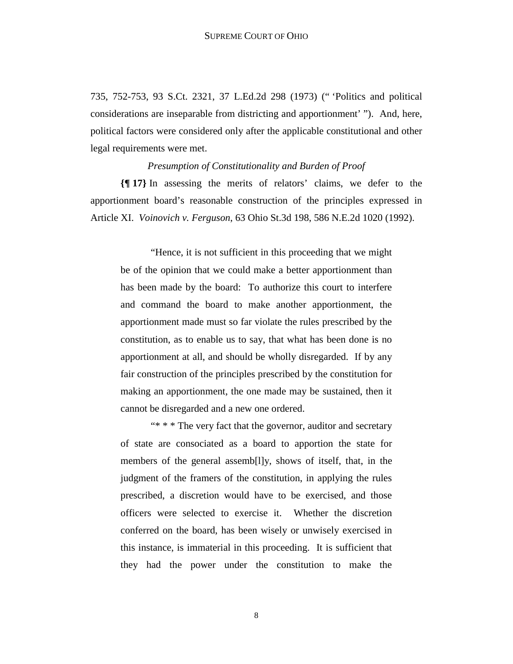735, 752-753, 93 S.Ct. 2321, 37 L.Ed.2d 298 (1973) (" 'Politics and political considerations are inseparable from districting and apportionment' "). And, here, political factors were considered only after the applicable constitutional and other legal requirements were met.

*Presumption of Constitutionality and Burden of Proof* 

**{¶ 17}** In assessing the merits of relators' claims, we defer to the apportionment board's reasonable construction of the principles expressed in Article XI. *Voinovich v. Ferguson*, 63 Ohio St.3d 198, 586 N.E.2d 1020 (1992).

 "Hence, it is not sufficient in this proceeding that we might be of the opinion that we could make a better apportionment than has been made by the board: To authorize this court to interfere and command the board to make another apportionment, the apportionment made must so far violate the rules prescribed by the constitution, as to enable us to say, that what has been done is no apportionment at all, and should be wholly disregarded. If by any fair construction of the principles prescribed by the constitution for making an apportionment, the one made may be sustained, then it cannot be disregarded and a new one ordered.

 "\* \* \* The very fact that the governor, auditor and secretary of state are consociated as a board to apportion the state for members of the general assemb[l]y, shows of itself, that, in the judgment of the framers of the constitution, in applying the rules prescribed, a discretion would have to be exercised, and those officers were selected to exercise it. Whether the discretion conferred on the board, has been wisely or unwisely exercised in this instance, is immaterial in this proceeding. It is sufficient that they had the power under the constitution to make the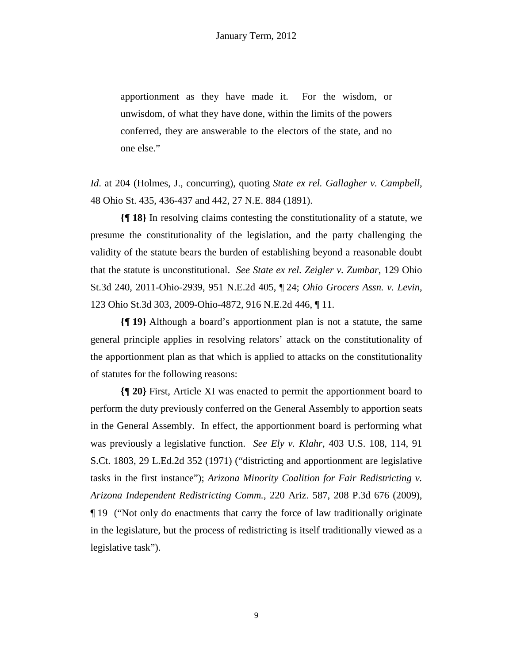apportionment as they have made it. For the wisdom, or unwisdom, of what they have done, within the limits of the powers conferred, they are answerable to the electors of the state, and no one else."

*Id*. at 204 (Holmes, J., concurring), quoting *State ex rel. Gallagher v. Campbell*, 48 Ohio St. 435, 436-437 and 442, 27 N.E. 884 (1891).

**{¶ 18}** In resolving claims contesting the constitutionality of a statute, we presume the constitutionality of the legislation, and the party challenging the validity of the statute bears the burden of establishing beyond a reasonable doubt that the statute is unconstitutional. *See State ex rel. Zeigler v. Zumbar*, 129 Ohio St.3d 240, 2011-Ohio-2939, 951 N.E.2d 405, ¶ 24; *Ohio Grocers Assn. v. Levin*, 123 Ohio St.3d 303, 2009-Ohio-4872, 916 N.E.2d 446, ¶ 11.

**{¶ 19}** Although a board's apportionment plan is not a statute, the same general principle applies in resolving relators' attack on the constitutionality of the apportionment plan as that which is applied to attacks on the constitutionality of statutes for the following reasons:

**{¶ 20}** First, Article XI was enacted to permit the apportionment board to perform the duty previously conferred on the General Assembly to apportion seats in the General Assembly. In effect, the apportionment board is performing what was previously a legislative function. *See Ely v. Klahr*, 403 U.S. 108, 114, 91 S.Ct. 1803, 29 L.Ed.2d 352 (1971) ("districting and apportionment are legislative tasks in the first instance"); *Arizona Minority Coalition for Fair Redistricting v. Arizona Independent Redistricting Comm.*, 220 Ariz. 587, 208 P.3d 676 (2009), ¶ 19 ("Not only do enactments that carry the force of law traditionally originate in the legislature, but the process of redistricting is itself traditionally viewed as a legislative task").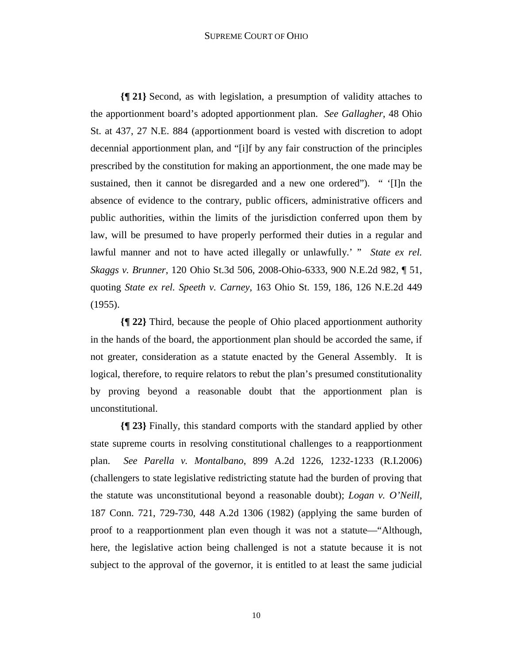#### SUPREME COURT OF OHIO

**{¶ 21}** Second, as with legislation, a presumption of validity attaches to the apportionment board's adopted apportionment plan. *See Gallagher*, 48 Ohio St. at 437, 27 N.E. 884 (apportionment board is vested with discretion to adopt decennial apportionment plan, and "[i]f by any fair construction of the principles prescribed by the constitution for making an apportionment, the one made may be sustained, then it cannot be disregarded and a new one ordered"). " '[I]n the absence of evidence to the contrary, public officers, administrative officers and public authorities, within the limits of the jurisdiction conferred upon them by law, will be presumed to have properly performed their duties in a regular and lawful manner and not to have acted illegally or unlawfully.' " *State ex rel. Skaggs v. Brunner*, 120 Ohio St.3d 506, 2008-Ohio-6333, 900 N.E.2d 982, ¶ 51, quoting *State ex rel. Speeth v. Carney*, 163 Ohio St. 159, 186, 126 N.E.2d 449 (1955).

**{¶ 22}** Third, because the people of Ohio placed apportionment authority in the hands of the board, the apportionment plan should be accorded the same, if not greater, consideration as a statute enacted by the General Assembly. It is logical, therefore, to require relators to rebut the plan's presumed constitutionality by proving beyond a reasonable doubt that the apportionment plan is unconstitutional.

**{¶ 23}** Finally, this standard comports with the standard applied by other state supreme courts in resolving constitutional challenges to a reapportionment plan. *See Parella v. Montalbano*, 899 A.2d 1226, 1232-1233 (R.I.2006) (challengers to state legislative redistricting statute had the burden of proving that the statute was unconstitutional beyond a reasonable doubt); *Logan v. O'Neill*, 187 Conn. 721, 729-730, 448 A.2d 1306 (1982) (applying the same burden of proof to a reapportionment plan even though it was not a statute—"Although, here, the legislative action being challenged is not a statute because it is not subject to the approval of the governor, it is entitled to at least the same judicial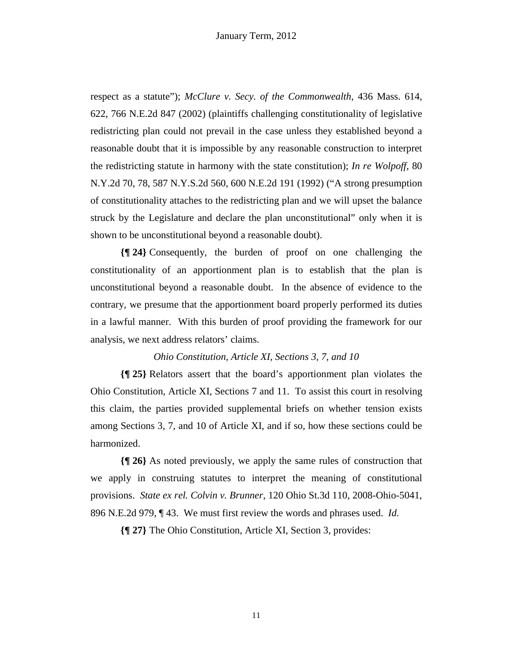respect as a statute"); *McClure v. Secy. of the Commonwealth*, 436 Mass. 614, 622, 766 N.E.2d 847 (2002) (plaintiffs challenging constitutionality of legislative redistricting plan could not prevail in the case unless they established beyond a reasonable doubt that it is impossible by any reasonable construction to interpret the redistricting statute in harmony with the state constitution); *In re Wolpoff*, 80 N.Y.2d 70, 78, 587 N.Y.S.2d 560, 600 N.E.2d 191 (1992) ("A strong presumption of constitutionality attaches to the redistricting plan and we will upset the balance struck by the Legislature and declare the plan unconstitutional" only when it is shown to be unconstitutional beyond a reasonable doubt).

**{¶ 24}** Consequently, the burden of proof on one challenging the constitutionality of an apportionment plan is to establish that the plan is unconstitutional beyond a reasonable doubt. In the absence of evidence to the contrary, we presume that the apportionment board properly performed its duties in a lawful manner. With this burden of proof providing the framework for our analysis, we next address relators' claims.

# *Ohio Constitution, Article XI, Sections 3, 7, and 10*

**{¶ 25}** Relators assert that the board's apportionment plan violates the Ohio Constitution, Article XI, Sections 7 and 11. To assist this court in resolving this claim, the parties provided supplemental briefs on whether tension exists among Sections 3, 7, and 10 of Article XI, and if so, how these sections could be harmonized.

**{¶ 26}** As noted previously, we apply the same rules of construction that we apply in construing statutes to interpret the meaning of constitutional provisions. *State ex rel. Colvin v. Brunner*, 120 Ohio St.3d 110, 2008-Ohio-5041, 896 N.E.2d 979, ¶ 43. We must first review the words and phrases used. *Id.*

**{¶ 27}** The Ohio Constitution, Article XI, Section 3, provides:

11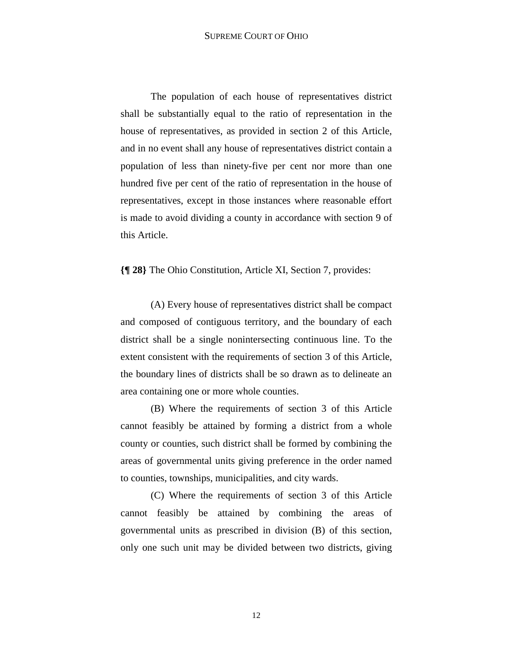The population of each house of representatives district shall be substantially equal to the ratio of representation in the house of representatives, as provided in section 2 of this Article, and in no event shall any house of representatives district contain a population of less than ninety-five per cent nor more than one hundred five per cent of the ratio of representation in the house of representatives, except in those instances where reasonable effort is made to avoid dividing a county in accordance with section 9 of this Article.

**{¶ 28}** The Ohio Constitution, Article XI, Section 7, provides:

 (A) Every house of representatives district shall be compact and composed of contiguous territory, and the boundary of each district shall be a single nonintersecting continuous line. To the extent consistent with the requirements of section 3 of this Article, the boundary lines of districts shall be so drawn as to delineate an area containing one or more whole counties.

(B) Where the requirements of section 3 of this Article cannot feasibly be attained by forming a district from a whole county or counties, such district shall be formed by combining the areas of governmental units giving preference in the order named to counties, townships, municipalities, and city wards.

(C) Where the requirements of section 3 of this Article cannot feasibly be attained by combining the areas of governmental units as prescribed in division (B) of this section, only one such unit may be divided between two districts, giving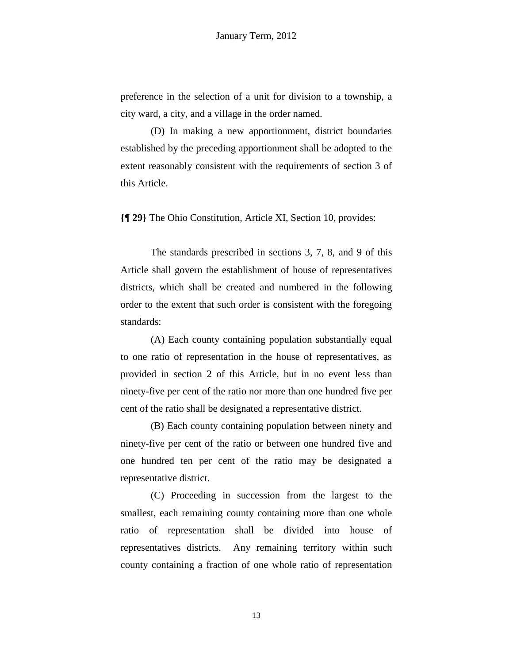preference in the selection of a unit for division to a township, a city ward, a city, and a village in the order named.

(D) In making a new apportionment, district boundaries established by the preceding apportionment shall be adopted to the extent reasonably consistent with the requirements of section 3 of this Article.

**{¶ 29}** The Ohio Constitution, Article XI, Section 10, provides:

 The standards prescribed in sections 3, 7, 8, and 9 of this Article shall govern the establishment of house of representatives districts, which shall be created and numbered in the following order to the extent that such order is consistent with the foregoing standards:

 (A) Each county containing population substantially equal to one ratio of representation in the house of representatives, as provided in section 2 of this Article, but in no event less than ninety-five per cent of the ratio nor more than one hundred five per cent of the ratio shall be designated a representative district.

 (B) Each county containing population between ninety and ninety-five per cent of the ratio or between one hundred five and one hundred ten per cent of the ratio may be designated a representative district.

 (C) Proceeding in succession from the largest to the smallest, each remaining county containing more than one whole ratio of representation shall be divided into house of representatives districts. Any remaining territory within such county containing a fraction of one whole ratio of representation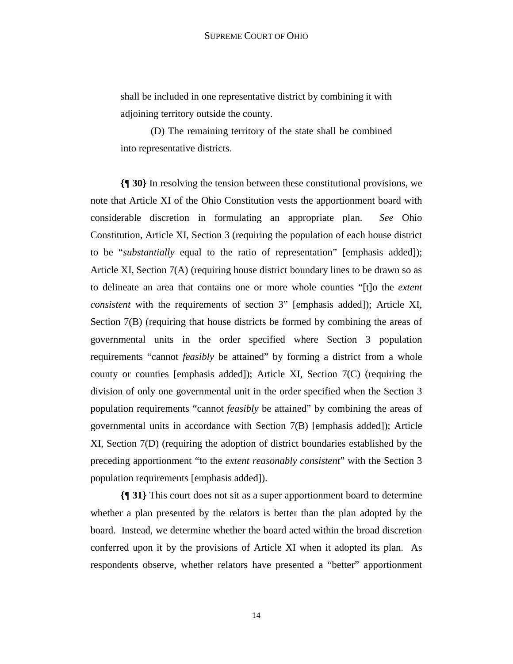shall be included in one representative district by combining it with adjoining territory outside the county.

 (D) The remaining territory of the state shall be combined into representative districts.

**{¶ 30}** In resolving the tension between these constitutional provisions, we note that Article XI of the Ohio Constitution vests the apportionment board with considerable discretion in formulating an appropriate plan. *See* Ohio Constitution, Article XI, Section 3 (requiring the population of each house district to be "*substantially* equal to the ratio of representation" [emphasis added]); Article XI, Section 7(A) (requiring house district boundary lines to be drawn so as to delineate an area that contains one or more whole counties "[t]o the *extent consistent* with the requirements of section 3" [emphasis added]); Article XI, Section 7(B) (requiring that house districts be formed by combining the areas of governmental units in the order specified where Section 3 population requirements "cannot *feasibly* be attained" by forming a district from a whole county or counties [emphasis added]); Article XI, Section 7(C) (requiring the division of only one governmental unit in the order specified when the Section 3 population requirements "cannot *feasibly* be attained" by combining the areas of governmental units in accordance with Section 7(B) [emphasis added]); Article XI, Section 7(D) (requiring the adoption of district boundaries established by the preceding apportionment "to the *extent reasonably consistent*" with the Section 3 population requirements [emphasis added]).

**{¶ 31}** This court does not sit as a super apportionment board to determine whether a plan presented by the relators is better than the plan adopted by the board. Instead, we determine whether the board acted within the broad discretion conferred upon it by the provisions of Article XI when it adopted its plan. As respondents observe, whether relators have presented a "better" apportionment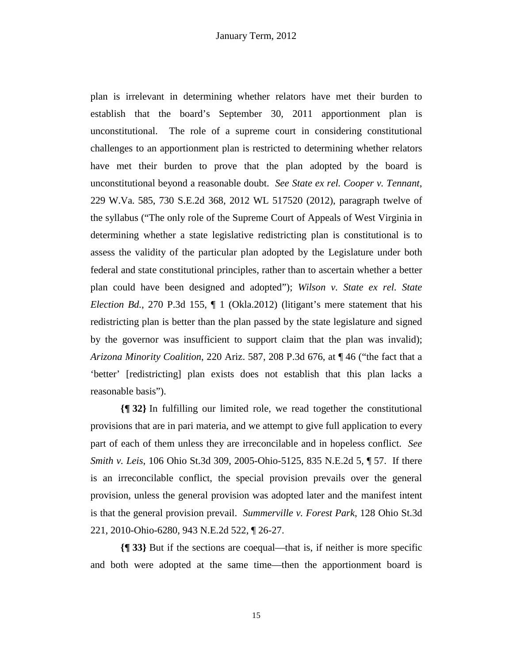plan is irrelevant in determining whether relators have met their burden to establish that the board's September 30, 2011 apportionment plan is unconstitutional. The role of a supreme court in considering constitutional challenges to an apportionment plan is restricted to determining whether relators have met their burden to prove that the plan adopted by the board is unconstitutional beyond a reasonable doubt. *See State ex rel. Cooper v. Tennant*, 229 W.Va. 585, 730 S.E.2d 368, 2012 WL 517520 (2012), paragraph twelve of the syllabus ("The only role of the Supreme Court of Appeals of West Virginia in determining whether a state legislative redistricting plan is constitutional is to assess the validity of the particular plan adopted by the Legislature under both federal and state constitutional principles, rather than to ascertain whether a better plan could have been designed and adopted"); *Wilson v. State ex rel. State Election Bd.*, 270 P.3d 155, ¶ 1 (Okla.2012) (litigant's mere statement that his redistricting plan is better than the plan passed by the state legislature and signed by the governor was insufficient to support claim that the plan was invalid); *Arizona Minority Coalition*, 220 Ariz. 587, 208 P.3d 676, at ¶ 46 ("the fact that a 'better' [redistricting] plan exists does not establish that this plan lacks a reasonable basis").

**{¶ 32}** In fulfilling our limited role, we read together the constitutional provisions that are in pari materia, and we attempt to give full application to every part of each of them unless they are irreconcilable and in hopeless conflict. *See Smith v. Leis*, 106 Ohio St.3d 309, 2005-Ohio-5125, 835 N.E.2d 5, ¶ 57. If there is an irreconcilable conflict, the special provision prevails over the general provision, unless the general provision was adopted later and the manifest intent is that the general provision prevail. *Summerville v. Forest Park*, 128 Ohio St.3d 221, 2010-Ohio-6280, 943 N.E.2d 522, ¶ 26-27.

**{¶ 33}** But if the sections are coequal—that is, if neither is more specific and both were adopted at the same time—then the apportionment board is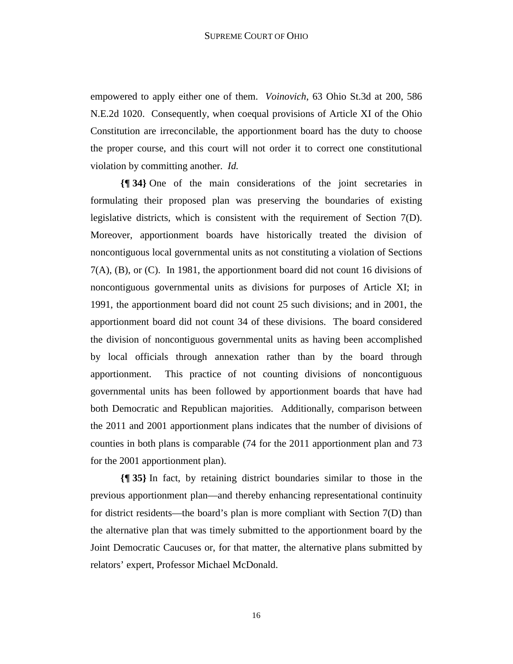empowered to apply either one of them. *Voinovich*, 63 Ohio St.3d at 200, 586 N.E.2d 1020. Consequently, when coequal provisions of Article XI of the Ohio Constitution are irreconcilable, the apportionment board has the duty to choose the proper course, and this court will not order it to correct one constitutional violation by committing another. *Id.*

**{¶ 34}** One of the main considerations of the joint secretaries in formulating their proposed plan was preserving the boundaries of existing legislative districts, which is consistent with the requirement of Section 7(D). Moreover, apportionment boards have historically treated the division of noncontiguous local governmental units as not constituting a violation of Sections 7(A), (B), or (C). In 1981, the apportionment board did not count 16 divisions of noncontiguous governmental units as divisions for purposes of Article XI; in 1991, the apportionment board did not count 25 such divisions; and in 2001, the apportionment board did not count 34 of these divisions. The board considered the division of noncontiguous governmental units as having been accomplished by local officials through annexation rather than by the board through apportionment. This practice of not counting divisions of noncontiguous governmental units has been followed by apportionment boards that have had both Democratic and Republican majorities. Additionally, comparison between the 2011 and 2001 apportionment plans indicates that the number of divisions of counties in both plans is comparable (74 for the 2011 apportionment plan and 73 for the 2001 apportionment plan).

**{¶ 35}** In fact, by retaining district boundaries similar to those in the previous apportionment plan—and thereby enhancing representational continuity for district residents—the board's plan is more compliant with Section 7(D) than the alternative plan that was timely submitted to the apportionment board by the Joint Democratic Caucuses or, for that matter, the alternative plans submitted by relators' expert, Professor Michael McDonald.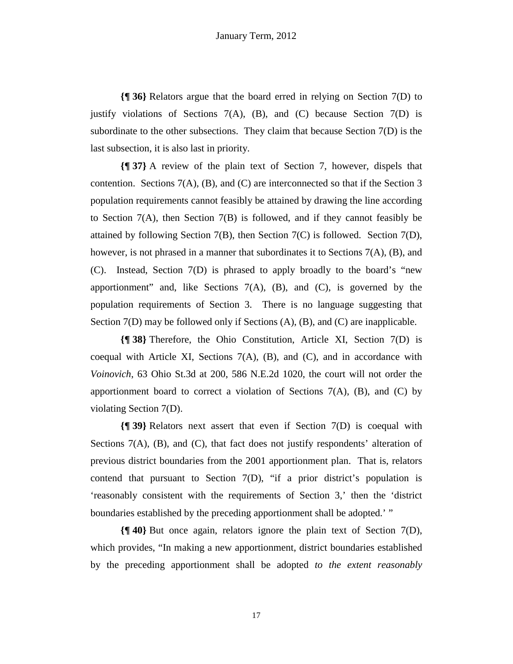**{¶ 36}** Relators argue that the board erred in relying on Section 7(D) to justify violations of Sections  $7(A)$ ,  $(B)$ , and  $(C)$  because Section  $7(D)$  is subordinate to the other subsections. They claim that because Section  $7(D)$  is the last subsection, it is also last in priority.

**{¶ 37}** A review of the plain text of Section 7, however, dispels that contention. Sections  $7(A)$ ,  $(B)$ , and  $(C)$  are interconnected so that if the Section 3 population requirements cannot feasibly be attained by drawing the line according to Section 7(A), then Section 7(B) is followed, and if they cannot feasibly be attained by following Section 7(B), then Section 7(C) is followed. Section 7(D), however, is not phrased in a manner that subordinates it to Sections 7(A), (B), and (C). Instead, Section 7(D) is phrased to apply broadly to the board's "new apportionment" and, like Sections  $7(A)$ ,  $(B)$ , and  $(C)$ , is governed by the population requirements of Section 3. There is no language suggesting that Section 7(D) may be followed only if Sections (A), (B), and (C) are inapplicable.

**{¶ 38}** Therefore, the Ohio Constitution, Article XI, Section 7(D) is coequal with Article XI, Sections  $7(A)$ ,  $(B)$ , and  $(C)$ , and in accordance with *Voinovich*, 63 Ohio St.3d at 200, 586 N.E.2d 1020, the court will not order the apportionment board to correct a violation of Sections  $7(A)$ ,  $(B)$ , and  $(C)$  by violating Section 7(D).

**{¶ 39}** Relators next assert that even if Section 7(D) is coequal with Sections  $7(A)$ ,  $(B)$ , and  $(C)$ , that fact does not justify respondents' alteration of previous district boundaries from the 2001 apportionment plan. That is, relators contend that pursuant to Section 7(D), "if a prior district's population is 'reasonably consistent with the requirements of Section 3,' then the 'district boundaries established by the preceding apportionment shall be adopted.' "

**{¶ 40}** But once again, relators ignore the plain text of Section 7(D), which provides, "In making a new apportionment, district boundaries established by the preceding apportionment shall be adopted *to the extent reasonably*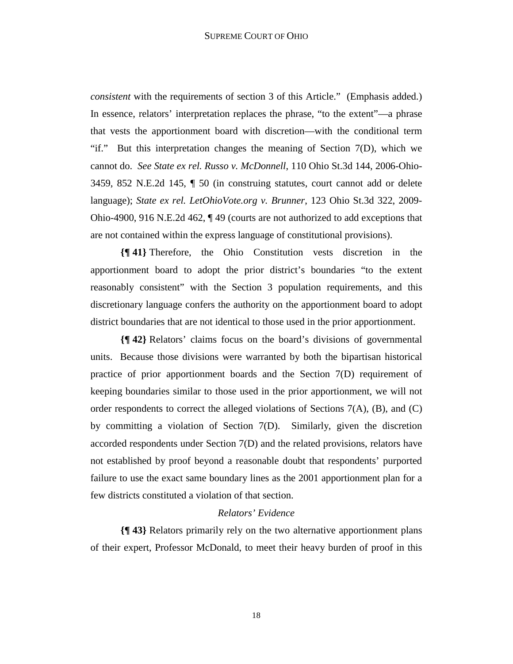*consistent* with the requirements of section 3 of this Article." (Emphasis added.) In essence, relators' interpretation replaces the phrase, "to the extent"—a phrase that vests the apportionment board with discretion—with the conditional term "if." But this interpretation changes the meaning of Section 7(D), which we cannot do. *See State ex rel. Russo v. McDonnell*, 110 Ohio St.3d 144, 2006-Ohio-3459, 852 N.E.2d 145, ¶ 50 (in construing statutes, court cannot add or delete language); *State ex rel. LetOhioVote.org v. Brunner*, 123 Ohio St.3d 322, 2009- Ohio-4900, 916 N.E.2d 462, ¶ 49 (courts are not authorized to add exceptions that are not contained within the express language of constitutional provisions).

**{¶ 41}** Therefore, the Ohio Constitution vests discretion in the apportionment board to adopt the prior district's boundaries "to the extent reasonably consistent" with the Section 3 population requirements, and this discretionary language confers the authority on the apportionment board to adopt district boundaries that are not identical to those used in the prior apportionment.

**{¶ 42}** Relators' claims focus on the board's divisions of governmental units. Because those divisions were warranted by both the bipartisan historical practice of prior apportionment boards and the Section 7(D) requirement of keeping boundaries similar to those used in the prior apportionment, we will not order respondents to correct the alleged violations of Sections 7(A), (B), and (C) by committing a violation of Section 7(D). Similarly, given the discretion accorded respondents under Section 7(D) and the related provisions, relators have not established by proof beyond a reasonable doubt that respondents' purported failure to use the exact same boundary lines as the 2001 apportionment plan for a few districts constituted a violation of that section.

# *Relators' Evidence*

**{¶ 43}** Relators primarily rely on the two alternative apportionment plans of their expert, Professor McDonald, to meet their heavy burden of proof in this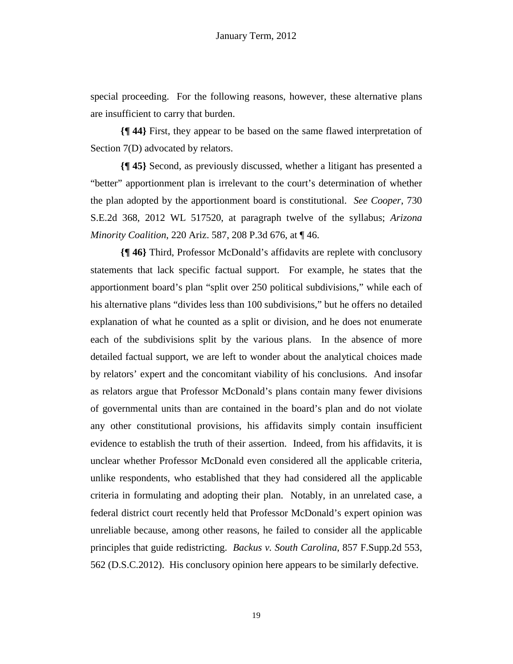special proceeding. For the following reasons, however, these alternative plans are insufficient to carry that burden.

**{¶ 44}** First, they appear to be based on the same flawed interpretation of Section 7(D) advocated by relators.

**{¶ 45}** Second, as previously discussed, whether a litigant has presented a "better" apportionment plan is irrelevant to the court's determination of whether the plan adopted by the apportionment board is constitutional. *See Cooper*, 730 S.E.2d 368, 2012 WL 517520, at paragraph twelve of the syllabus; *Arizona Minority Coalition*, 220 Ariz. 587, 208 P.3d 676, at ¶ 46.

**{¶ 46}** Third, Professor McDonald's affidavits are replete with conclusory statements that lack specific factual support. For example, he states that the apportionment board's plan "split over 250 political subdivisions," while each of his alternative plans "divides less than 100 subdivisions," but he offers no detailed explanation of what he counted as a split or division, and he does not enumerate each of the subdivisions split by the various plans. In the absence of more detailed factual support, we are left to wonder about the analytical choices made by relators' expert and the concomitant viability of his conclusions. And insofar as relators argue that Professor McDonald's plans contain many fewer divisions of governmental units than are contained in the board's plan and do not violate any other constitutional provisions, his affidavits simply contain insufficient evidence to establish the truth of their assertion. Indeed, from his affidavits, it is unclear whether Professor McDonald even considered all the applicable criteria, unlike respondents, who established that they had considered all the applicable criteria in formulating and adopting their plan. Notably, in an unrelated case, a federal district court recently held that Professor McDonald's expert opinion was unreliable because, among other reasons, he failed to consider all the applicable principles that guide redistricting. *Backus v. South Carolina*, 857 F.Supp.2d 553, 562 (D.S.C.2012). His conclusory opinion here appears to be similarly defective.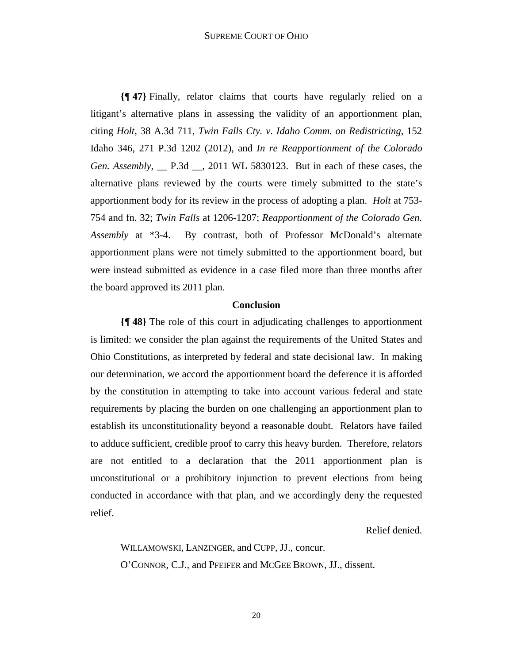**{¶ 47}** Finally, relator claims that courts have regularly relied on a litigant's alternative plans in assessing the validity of an apportionment plan, citing *Holt*, 38 A.3d 711, *Twin Falls Cty. v. Idaho Comm. on Redistricting*, 152 Idaho 346, 271 P.3d 1202 (2012), and *In re Reapportionment of the Colorado Gen. Assembly*, \_\_ P.3d \_\_, 2011 WL 5830123. But in each of these cases, the alternative plans reviewed by the courts were timely submitted to the state's apportionment body for its review in the process of adopting a plan. *Holt* at 753- 754 and fn. 32; *Twin Falls* at 1206-1207; *Reapportionment of the Colorado Gen. Assembly* at \*3-4. By contrast, both of Professor McDonald's alternate apportionment plans were not timely submitted to the apportionment board, but were instead submitted as evidence in a case filed more than three months after the board approved its 2011 plan.

#### **Conclusion**

**{¶ 48}** The role of this court in adjudicating challenges to apportionment is limited: we consider the plan against the requirements of the United States and Ohio Constitutions, as interpreted by federal and state decisional law. In making our determination, we accord the apportionment board the deference it is afforded by the constitution in attempting to take into account various federal and state requirements by placing the burden on one challenging an apportionment plan to establish its unconstitutionality beyond a reasonable doubt. Relators have failed to adduce sufficient, credible proof to carry this heavy burden. Therefore, relators are not entitled to a declaration that the 2011 apportionment plan is unconstitutional or a prohibitory injunction to prevent elections from being conducted in accordance with that plan, and we accordingly deny the requested relief.

Relief denied.

WILLAMOWSKI, LANZINGER, and CUPP, JJ., concur. O'CONNOR, C.J., and PFEIFER and MCGEE BROWN, JJ., dissent.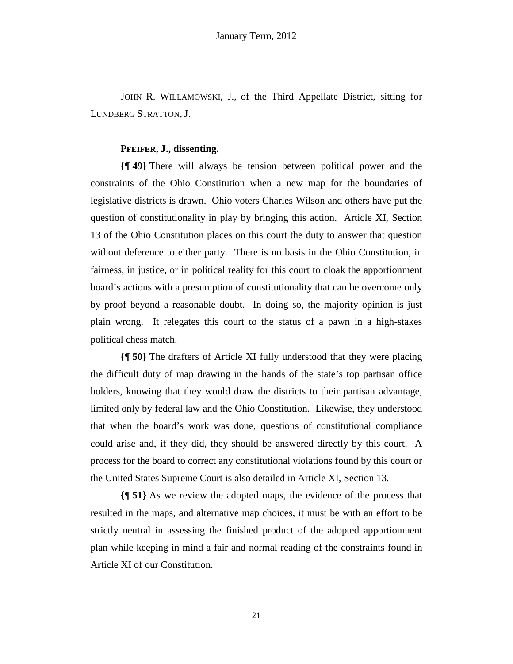JOHN R. WILLAMOWSKI, J., of the Third Appellate District, sitting for LUNDBERG STRATTON, J.

\_\_\_\_\_\_\_\_\_\_\_\_\_\_\_\_\_\_

# **PFEIFER, J., dissenting.**

**{¶ 49}** There will always be tension between political power and the constraints of the Ohio Constitution when a new map for the boundaries of legislative districts is drawn. Ohio voters Charles Wilson and others have put the question of constitutionality in play by bringing this action. Article XI, Section 13 of the Ohio Constitution places on this court the duty to answer that question without deference to either party. There is no basis in the Ohio Constitution, in fairness, in justice, or in political reality for this court to cloak the apportionment board's actions with a presumption of constitutionality that can be overcome only by proof beyond a reasonable doubt. In doing so, the majority opinion is just plain wrong. It relegates this court to the status of a pawn in a high-stakes political chess match.

**{¶ 50}** The drafters of Article XI fully understood that they were placing the difficult duty of map drawing in the hands of the state's top partisan office holders, knowing that they would draw the districts to their partisan advantage, limited only by federal law and the Ohio Constitution. Likewise, they understood that when the board's work was done, questions of constitutional compliance could arise and, if they did, they should be answered directly by this court. A process for the board to correct any constitutional violations found by this court or the United States Supreme Court is also detailed in Article XI, Section 13.

**{¶ 51}** As we review the adopted maps, the evidence of the process that resulted in the maps, and alternative map choices, it must be with an effort to be strictly neutral in assessing the finished product of the adopted apportionment plan while keeping in mind a fair and normal reading of the constraints found in Article XI of our Constitution.

21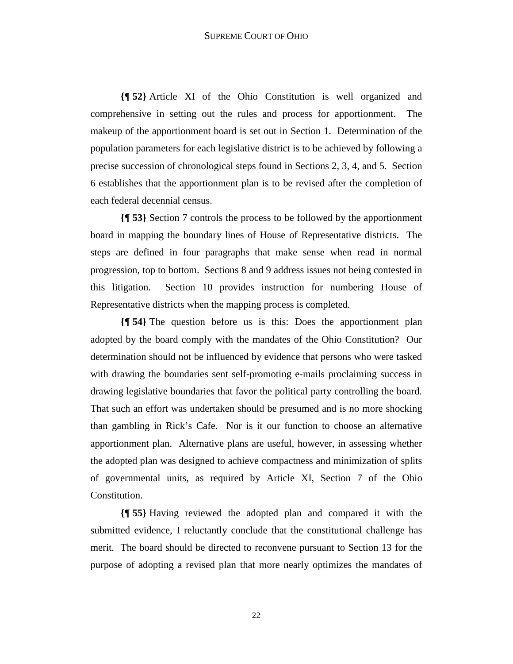**{¶ 52}** Article XI of the Ohio Constitution is well organized and comprehensive in setting out the rules and process for apportionment. The makeup of the apportionment board is set out in Section 1. Determination of the population parameters for each legislative district is to be achieved by following a precise succession of chronological steps found in Sections 2, 3, 4, and 5. Section 6 establishes that the apportionment plan is to be revised after the completion of each federal decennial census.

**{¶ 53}** Section 7 controls the process to be followed by the apportionment board in mapping the boundary lines of House of Representative districts. The steps are defined in four paragraphs that make sense when read in normal progression, top to bottom. Sections 8 and 9 address issues not being contested in this litigation. Section 10 provides instruction for numbering House of Representative districts when the mapping process is completed.

**{¶ 54}** The question before us is this: Does the apportionment plan adopted by the board comply with the mandates of the Ohio Constitution? Our determination should not be influenced by evidence that persons who were tasked with drawing the boundaries sent self-promoting e-mails proclaiming success in drawing legislative boundaries that favor the political party controlling the board. That such an effort was undertaken should be presumed and is no more shocking than gambling in Rick's Cafe. Nor is it our function to choose an alternative apportionment plan. Alternative plans are useful, however, in assessing whether the adopted plan was designed to achieve compactness and minimization of splits of governmental units, as required by Article XI, Section 7 of the Ohio Constitution.

**{¶ 55}** Having reviewed the adopted plan and compared it with the submitted evidence, I reluctantly conclude that the constitutional challenge has merit. The board should be directed to reconvene pursuant to Section 13 for the purpose of adopting a revised plan that more nearly optimizes the mandates of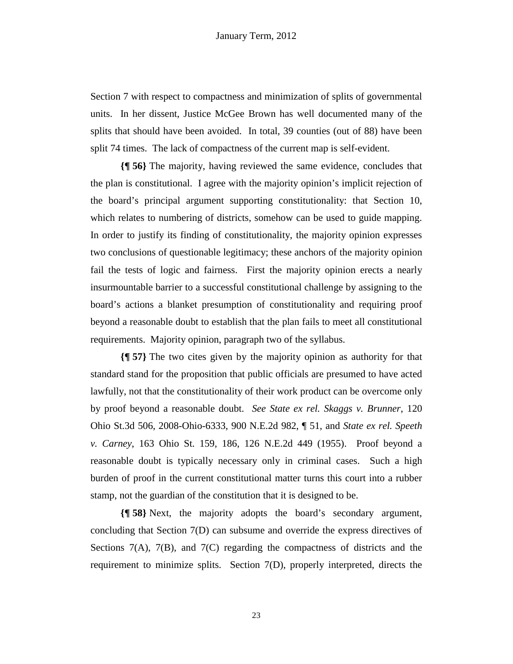Section 7 with respect to compactness and minimization of splits of governmental units. In her dissent, Justice McGee Brown has well documented many of the splits that should have been avoided. In total, 39 counties (out of 88) have been split 74 times. The lack of compactness of the current map is self-evident.

**{¶ 56}** The majority, having reviewed the same evidence, concludes that the plan is constitutional. I agree with the majority opinion's implicit rejection of the board's principal argument supporting constitutionality: that Section 10, which relates to numbering of districts, somehow can be used to guide mapping. In order to justify its finding of constitutionality, the majority opinion expresses two conclusions of questionable legitimacy; these anchors of the majority opinion fail the tests of logic and fairness. First the majority opinion erects a nearly insurmountable barrier to a successful constitutional challenge by assigning to the board's actions a blanket presumption of constitutionality and requiring proof beyond a reasonable doubt to establish that the plan fails to meet all constitutional requirements. Majority opinion, paragraph two of the syllabus.

**{¶ 57}** The two cites given by the majority opinion as authority for that standard stand for the proposition that public officials are presumed to have acted lawfully, not that the constitutionality of their work product can be overcome only by proof beyond a reasonable doubt. *See State ex rel. Skaggs v. Brunner*, 120 Ohio St.3d 506, 2008-Ohio-6333, 900 N.E.2d 982, ¶ 51, and *State ex rel. Speeth v. Carney*, 163 Ohio St. 159, 186, 126 N.E.2d 449 (1955). Proof beyond a reasonable doubt is typically necessary only in criminal cases. Such a high burden of proof in the current constitutional matter turns this court into a rubber stamp, not the guardian of the constitution that it is designed to be.

**{¶ 58}** Next, the majority adopts the board's secondary argument, concluding that Section 7(D) can subsume and override the express directives of Sections 7(A), 7(B), and 7(C) regarding the compactness of districts and the requirement to minimize splits. Section 7(D), properly interpreted, directs the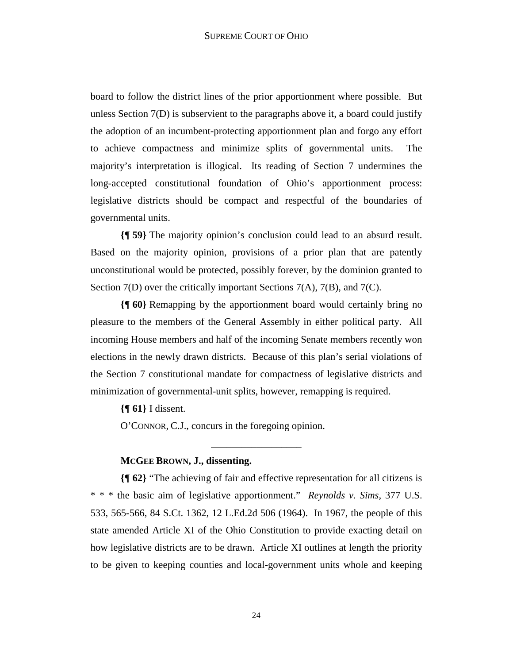board to follow the district lines of the prior apportionment where possible. But unless Section 7(D) is subservient to the paragraphs above it, a board could justify the adoption of an incumbent-protecting apportionment plan and forgo any effort to achieve compactness and minimize splits of governmental units. The majority's interpretation is illogical. Its reading of Section 7 undermines the long-accepted constitutional foundation of Ohio's apportionment process: legislative districts should be compact and respectful of the boundaries of governmental units.

**{¶ 59}** The majority opinion's conclusion could lead to an absurd result. Based on the majority opinion, provisions of a prior plan that are patently unconstitutional would be protected, possibly forever, by the dominion granted to Section 7(D) over the critically important Sections 7(A), 7(B), and 7(C).

**{¶ 60}** Remapping by the apportionment board would certainly bring no pleasure to the members of the General Assembly in either political party. All incoming House members and half of the incoming Senate members recently won elections in the newly drawn districts. Because of this plan's serial violations of the Section 7 constitutional mandate for compactness of legislative districts and minimization of governmental-unit splits, however, remapping is required.

**{¶ 61}** I dissent.

O'CONNOR, C.J., concurs in the foregoing opinion.

## **MCGEE BROWN, J., dissenting.**

**{¶ 62}** "The achieving of fair and effective representation for all citizens is \* \* \* the basic aim of legislative apportionment." *Reynolds v. Sims*, 377 U.S. 533, 565-566, 84 S.Ct. 1362, 12 L.Ed.2d 506 (1964). In 1967, the people of this state amended Article XI of the Ohio Constitution to provide exacting detail on how legislative districts are to be drawn. Article XI outlines at length the priority to be given to keeping counties and local-government units whole and keeping

\_\_\_\_\_\_\_\_\_\_\_\_\_\_\_\_\_\_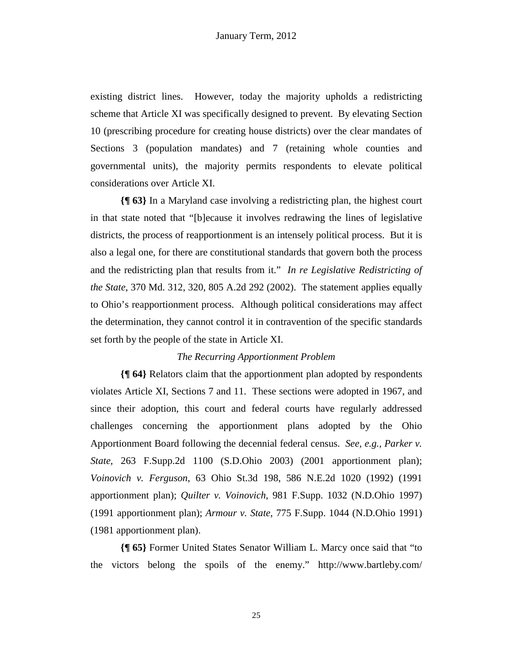existing district lines. However, today the majority upholds a redistricting scheme that Article XI was specifically designed to prevent. By elevating Section 10 (prescribing procedure for creating house districts) over the clear mandates of Sections 3 (population mandates) and 7 (retaining whole counties and governmental units), the majority permits respondents to elevate political considerations over Article XI.

**{¶ 63}** In a Maryland case involving a redistricting plan, the highest court in that state noted that "[b]ecause it involves redrawing the lines of legislative districts, the process of reapportionment is an intensely political process. But it is also a legal one, for there are constitutional standards that govern both the process and the redistricting plan that results from it." *In re Legislative Redistricting of the State*, 370 Md. 312, 320, 805 A.2d 292 (2002). The statement applies equally to Ohio's reapportionment process. Although political considerations may affect the determination, they cannot control it in contravention of the specific standards set forth by the people of the state in Article XI.

## *The Recurring Apportionment Problem*

**{¶ 64}** Relators claim that the apportionment plan adopted by respondents violates Article XI, Sections 7 and 11. These sections were adopted in 1967, and since their adoption, this court and federal courts have regularly addressed challenges concerning the apportionment plans adopted by the Ohio Apportionment Board following the decennial federal census. *See, e.g., Parker v. State*, 263 F.Supp.2d 1100 (S.D.Ohio 2003) (2001 apportionment plan); *Voinovich v. Ferguson*, 63 Ohio St.3d 198, 586 N.E.2d 1020 (1992) (1991 apportionment plan); *Quilter v. Voinovich*, 981 F.Supp. 1032 (N.D.Ohio 1997) (1991 apportionment plan); *Armour v. State*, 775 F.Supp. 1044 (N.D.Ohio 1991) (1981 apportionment plan).

**{¶ 65}** Former United States Senator William L. Marcy once said that "to the victors belong the spoils of the enemy." http://www.bartleby.com/

25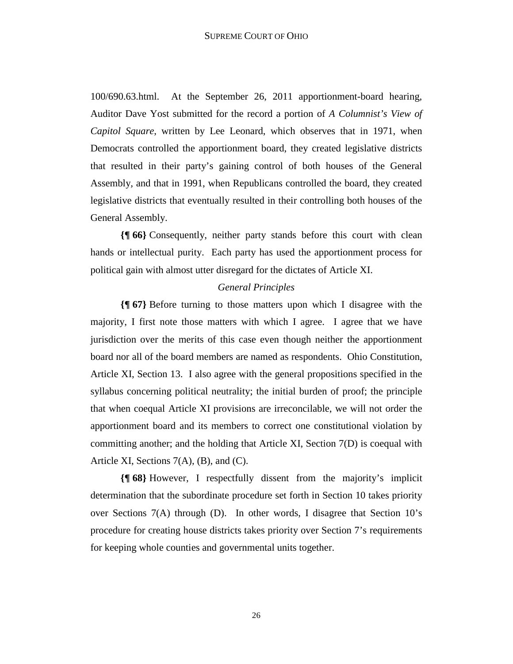100/690.63.html. At the September 26, 2011 apportionment-board hearing, Auditor Dave Yost submitted for the record a portion of *A Columnist's View of Capitol Square*, written by Lee Leonard, which observes that in 1971, when Democrats controlled the apportionment board, they created legislative districts that resulted in their party's gaining control of both houses of the General Assembly, and that in 1991, when Republicans controlled the board, they created legislative districts that eventually resulted in their controlling both houses of the General Assembly.

**{¶ 66}** Consequently, neither party stands before this court with clean hands or intellectual purity. Each party has used the apportionment process for political gain with almost utter disregard for the dictates of Article XI.

#### *General Principles*

**{¶ 67}** Before turning to those matters upon which I disagree with the majority, I first note those matters with which I agree. I agree that we have jurisdiction over the merits of this case even though neither the apportionment board nor all of the board members are named as respondents. Ohio Constitution, Article XI, Section 13. I also agree with the general propositions specified in the syllabus concerning political neutrality; the initial burden of proof; the principle that when coequal Article XI provisions are irreconcilable, we will not order the apportionment board and its members to correct one constitutional violation by committing another; and the holding that Article XI, Section 7(D) is coequal with Article XI, Sections 7(A), (B), and (C).

**{¶ 68}** However, I respectfully dissent from the majority's implicit determination that the subordinate procedure set forth in Section 10 takes priority over Sections 7(A) through (D). In other words, I disagree that Section 10's procedure for creating house districts takes priority over Section 7's requirements for keeping whole counties and governmental units together.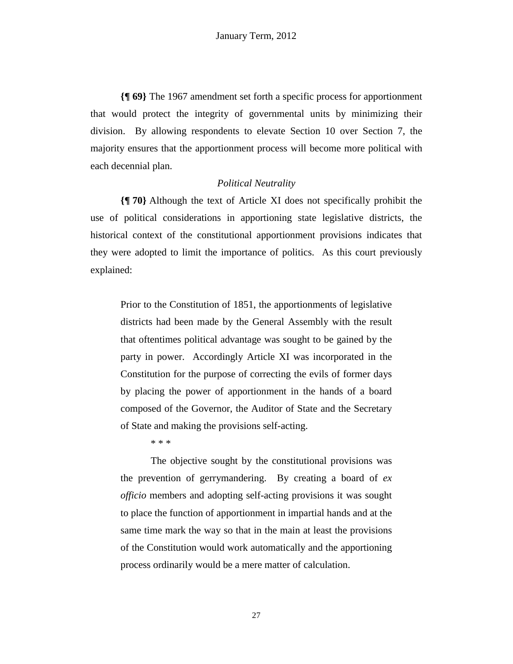**{¶ 69}** The 1967 amendment set forth a specific process for apportionment that would protect the integrity of governmental units by minimizing their division. By allowing respondents to elevate Section 10 over Section 7, the majority ensures that the apportionment process will become more political with each decennial plan.

## *Political Neutrality*

**{¶ 70}** Although the text of Article XI does not specifically prohibit the use of political considerations in apportioning state legislative districts, the historical context of the constitutional apportionment provisions indicates that they were adopted to limit the importance of politics. As this court previously explained:

Prior to the Constitution of 1851, the apportionments of legislative districts had been made by the General Assembly with the result that oftentimes political advantage was sought to be gained by the party in power. Accordingly Article XI was incorporated in the Constitution for the purpose of correcting the evils of former days by placing the power of apportionment in the hands of a board composed of the Governor, the Auditor of State and the Secretary of State and making the provisions self-acting.

\* \* \*

 The objective sought by the constitutional provisions was the prevention of gerrymandering. By creating a board of *ex officio* members and adopting self-acting provisions it was sought to place the function of apportionment in impartial hands and at the same time mark the way so that in the main at least the provisions of the Constitution would work automatically and the apportioning process ordinarily would be a mere matter of calculation.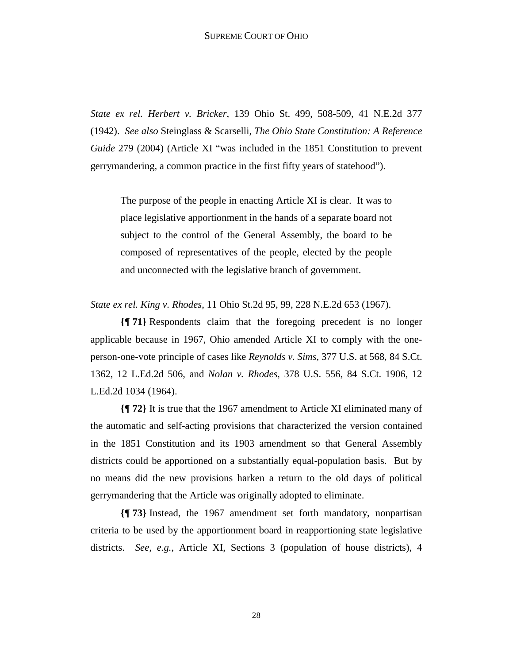*State ex rel. Herbert v. Bricker*, 139 Ohio St. 499, 508-509, 41 N.E.2d 377 (1942). *See also* Steinglass & Scarselli, *The Ohio State Constitution: A Reference Guide* 279 (2004) (Article XI "was included in the 1851 Constitution to prevent gerrymandering, a common practice in the first fifty years of statehood").

The purpose of the people in enacting Article XI is clear. It was to place legislative apportionment in the hands of a separate board not subject to the control of the General Assembly, the board to be composed of representatives of the people, elected by the people and unconnected with the legislative branch of government.

*State ex rel. King v. Rhodes*, 11 Ohio St.2d 95, 99, 228 N.E.2d 653 (1967).

**{¶ 71}** Respondents claim that the foregoing precedent is no longer applicable because in 1967, Ohio amended Article XI to comply with the oneperson-one-vote principle of cases like *Reynolds v. Sims*, 377 U.S. at 568, 84 S.Ct. 1362, 12 L.Ed.2d 506, and *Nolan v. Rhodes*, 378 U.S. 556, 84 S.Ct. 1906, 12 L.Ed.2d 1034 (1964).

**{¶ 72}** It is true that the 1967 amendment to Article XI eliminated many of the automatic and self-acting provisions that characterized the version contained in the 1851 Constitution and its 1903 amendment so that General Assembly districts could be apportioned on a substantially equal-population basis. But by no means did the new provisions harken a return to the old days of political gerrymandering that the Article was originally adopted to eliminate.

**{¶ 73}** Instead, the 1967 amendment set forth mandatory, nonpartisan criteria to be used by the apportionment board in reapportioning state legislative districts. *See, e.g.*, Article XI, Sections 3 (population of house districts), 4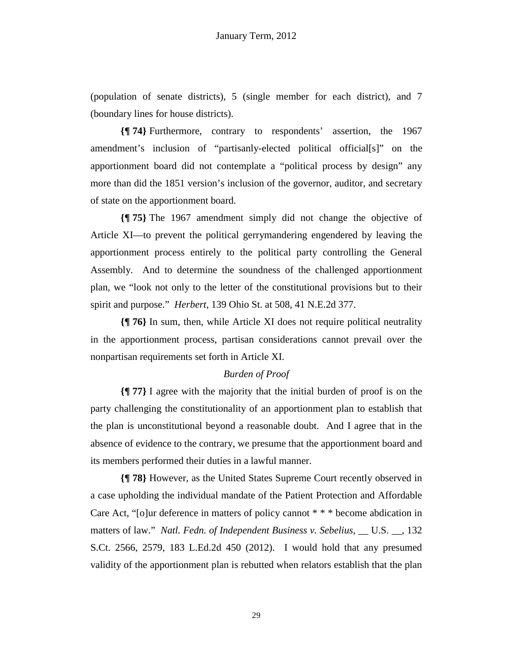(population of senate districts), 5 (single member for each district), and 7 (boundary lines for house districts).

**{¶ 74}** Furthermore, contrary to respondents' assertion, the 1967 amendment's inclusion of "partisanly-elected political official[s]" on the apportionment board did not contemplate a "political process by design" any more than did the 1851 version's inclusion of the governor, auditor, and secretary of state on the apportionment board.

**{¶ 75}** The 1967 amendment simply did not change the objective of Article XI—to prevent the political gerrymandering engendered by leaving the apportionment process entirely to the political party controlling the General Assembly. And to determine the soundness of the challenged apportionment plan, we "look not only to the letter of the constitutional provisions but to their spirit and purpose." *Herbert*, 139 Ohio St. at 508, 41 N.E.2d 377.

**{¶ 76}** In sum, then, while Article XI does not require political neutrality in the apportionment process, partisan considerations cannot prevail over the nonpartisan requirements set forth in Article XI.

# *Burden of Proof*

**{¶ 77}** I agree with the majority that the initial burden of proof is on the party challenging the constitutionality of an apportionment plan to establish that the plan is unconstitutional beyond a reasonable doubt. And I agree that in the absence of evidence to the contrary, we presume that the apportionment board and its members performed their duties in a lawful manner.

**{¶ 78}** However, as the United States Supreme Court recently observed in a case upholding the individual mandate of the Patient Protection and Affordable Care Act, "[o]ur deference in matters of policy cannot \* \* \* become abdication in matters of law." *Natl. Fedn. of Independent Business v. Sebelius*, \_\_ U.S. \_\_, 132 S.Ct. 2566, 2579, 183 L.Ed.2d 450 (2012). I would hold that any presumed validity of the apportionment plan is rebutted when relators establish that the plan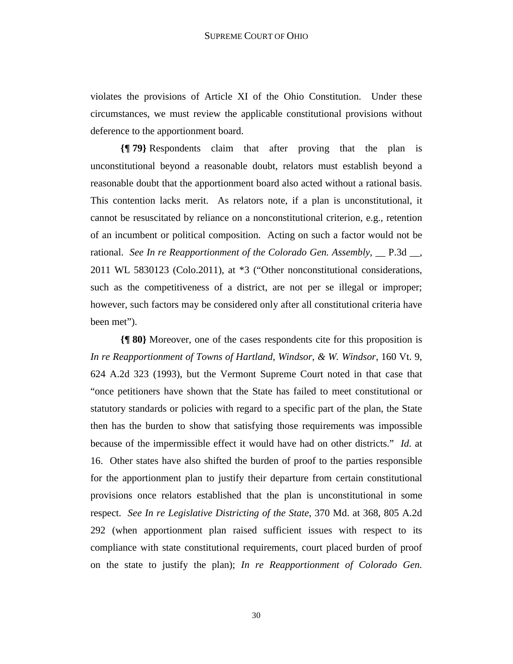violates the provisions of Article XI of the Ohio Constitution. Under these circumstances, we must review the applicable constitutional provisions without deference to the apportionment board.

**{¶ 79}** Respondents claim that after proving that the plan is unconstitutional beyond a reasonable doubt, relators must establish beyond a reasonable doubt that the apportionment board also acted without a rational basis. This contention lacks merit. As relators note, if a plan is unconstitutional, it cannot be resuscitated by reliance on a nonconstitutional criterion, e.g., retention of an incumbent or political composition. Acting on such a factor would not be rational. *See In re Reapportionment of the Colorado Gen. Assembly*, <u>parallelective</u>, 2011 WL 5830123 (Colo.2011), at \*3 ("Other nonconstitutional considerations, such as the competitiveness of a district, are not per se illegal or improper; however, such factors may be considered only after all constitutional criteria have been met").

**{¶ 80}** Moreover, one of the cases respondents cite for this proposition is *In re Reapportionment of Towns of Hartland, Windsor, & W. Windsor*, 160 Vt. 9, 624 A.2d 323 (1993), but the Vermont Supreme Court noted in that case that "once petitioners have shown that the State has failed to meet constitutional or statutory standards or policies with regard to a specific part of the plan, the State then has the burden to show that satisfying those requirements was impossible because of the impermissible effect it would have had on other districts." *Id.* at 16. Other states have also shifted the burden of proof to the parties responsible for the apportionment plan to justify their departure from certain constitutional provisions once relators established that the plan is unconstitutional in some respect. *See In re Legislative Districting of the State*, 370 Md. at 368, 805 A.2d 292 (when apportionment plan raised sufficient issues with respect to its compliance with state constitutional requirements, court placed burden of proof on the state to justify the plan); *In re Reapportionment of Colorado Gen.*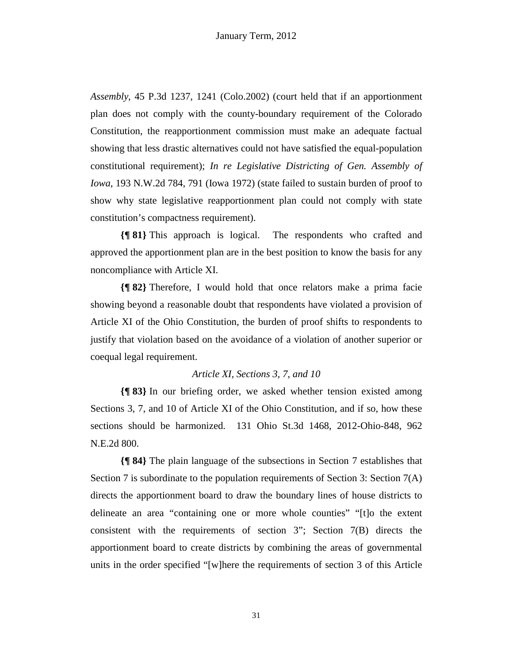*Assembly*, 45 P.3d 1237, 1241 (Colo.2002) (court held that if an apportionment plan does not comply with the county-boundary requirement of the Colorado Constitution, the reapportionment commission must make an adequate factual showing that less drastic alternatives could not have satisfied the equal-population constitutional requirement); *In re Legislative Districting of Gen. Assembly of Iowa*, 193 N.W.2d 784, 791 (Iowa 1972) (state failed to sustain burden of proof to show why state legislative reapportionment plan could not comply with state constitution's compactness requirement).

**{¶ 81}** This approach is logical. The respondents who crafted and approved the apportionment plan are in the best position to know the basis for any noncompliance with Article XI.

**{¶ 82}** Therefore, I would hold that once relators make a prima facie showing beyond a reasonable doubt that respondents have violated a provision of Article XI of the Ohio Constitution, the burden of proof shifts to respondents to justify that violation based on the avoidance of a violation of another superior or coequal legal requirement.

## *Article XI, Sections 3, 7, and 10*

**{¶ 83}** In our briefing order, we asked whether tension existed among Sections 3, 7, and 10 of Article XI of the Ohio Constitution, and if so, how these sections should be harmonized. 131 Ohio St.3d 1468, 2012-Ohio-848, 962 N.E.2d 800.

**{¶ 84}** The plain language of the subsections in Section 7 establishes that Section 7 is subordinate to the population requirements of Section 3: Section  $7(A)$ directs the apportionment board to draw the boundary lines of house districts to delineate an area "containing one or more whole counties" "[t]o the extent consistent with the requirements of section 3"; Section 7(B) directs the apportionment board to create districts by combining the areas of governmental units in the order specified "[w]here the requirements of section 3 of this Article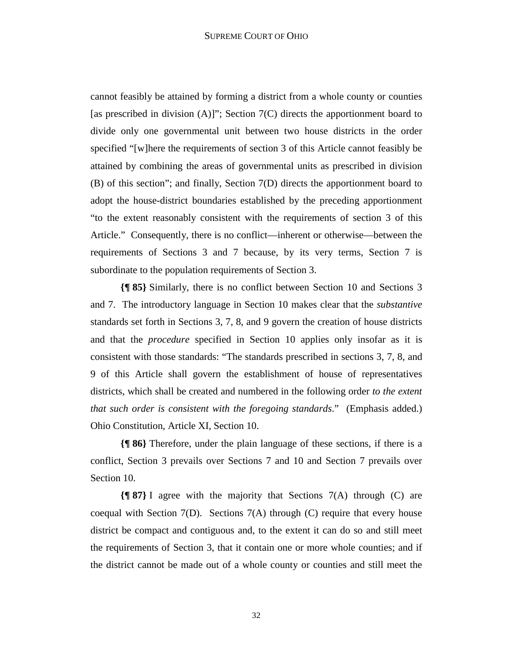cannot feasibly be attained by forming a district from a whole county or counties [as prescribed in division  $(A)$ ]"; Section  $7(C)$  directs the apportionment board to divide only one governmental unit between two house districts in the order specified "[w]here the requirements of section 3 of this Article cannot feasibly be attained by combining the areas of governmental units as prescribed in division (B) of this section"; and finally, Section 7(D) directs the apportionment board to adopt the house-district boundaries established by the preceding apportionment "to the extent reasonably consistent with the requirements of section 3 of this Article." Consequently, there is no conflict—inherent or otherwise—between the requirements of Sections 3 and 7 because, by its very terms, Section 7 is subordinate to the population requirements of Section 3.

**{¶ 85}** Similarly, there is no conflict between Section 10 and Sections 3 and 7. The introductory language in Section 10 makes clear that the *substantive* standards set forth in Sections 3, 7, 8, and 9 govern the creation of house districts and that the *procedure* specified in Section 10 applies only insofar as it is consistent with those standards: "The standards prescribed in sections 3, 7, 8, and 9 of this Article shall govern the establishment of house of representatives districts, which shall be created and numbered in the following order *to the extent that such order is consistent with the foregoing standards*." (Emphasis added.) Ohio Constitution, Article XI, Section 10.

**{¶ 86}** Therefore, under the plain language of these sections, if there is a conflict, Section 3 prevails over Sections 7 and 10 and Section 7 prevails over Section 10.

**{¶ 87}** I agree with the majority that Sections 7(A) through (C) are coequal with Section  $7(D)$ . Sections  $7(A)$  through (C) require that every house district be compact and contiguous and, to the extent it can do so and still meet the requirements of Section 3, that it contain one or more whole counties; and if the district cannot be made out of a whole county or counties and still meet the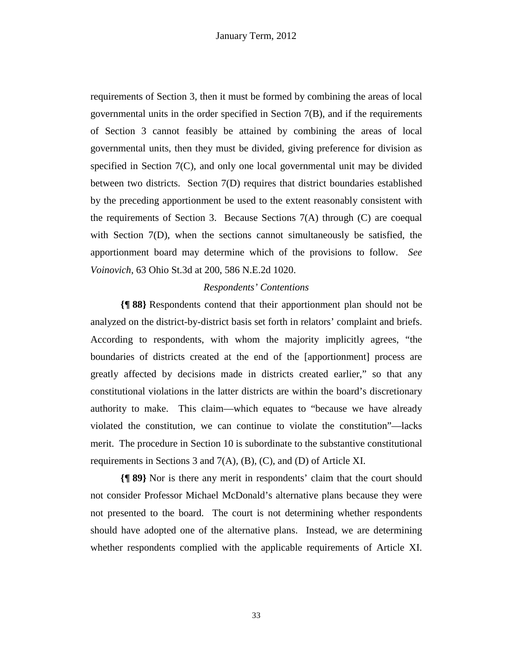requirements of Section 3, then it must be formed by combining the areas of local governmental units in the order specified in Section 7(B), and if the requirements of Section 3 cannot feasibly be attained by combining the areas of local governmental units, then they must be divided, giving preference for division as specified in Section 7(C), and only one local governmental unit may be divided between two districts. Section 7(D) requires that district boundaries established by the preceding apportionment be used to the extent reasonably consistent with the requirements of Section 3. Because Sections 7(A) through (C) are coequal with Section 7(D), when the sections cannot simultaneously be satisfied, the apportionment board may determine which of the provisions to follow. *See Voinovich*, 63 Ohio St.3d at 200, 586 N.E.2d 1020.

#### *Respondents' Contentions*

**{¶ 88}** Respondents contend that their apportionment plan should not be analyzed on the district-by-district basis set forth in relators' complaint and briefs. According to respondents, with whom the majority implicitly agrees, "the boundaries of districts created at the end of the [apportionment] process are greatly affected by decisions made in districts created earlier," so that any constitutional violations in the latter districts are within the board's discretionary authority to make. This claim—which equates to "because we have already violated the constitution, we can continue to violate the constitution"—lacks merit. The procedure in Section 10 is subordinate to the substantive constitutional requirements in Sections 3 and 7(A), (B), (C), and (D) of Article XI.

**{¶ 89}** Nor is there any merit in respondents' claim that the court should not consider Professor Michael McDonald's alternative plans because they were not presented to the board. The court is not determining whether respondents should have adopted one of the alternative plans. Instead, we are determining whether respondents complied with the applicable requirements of Article XI.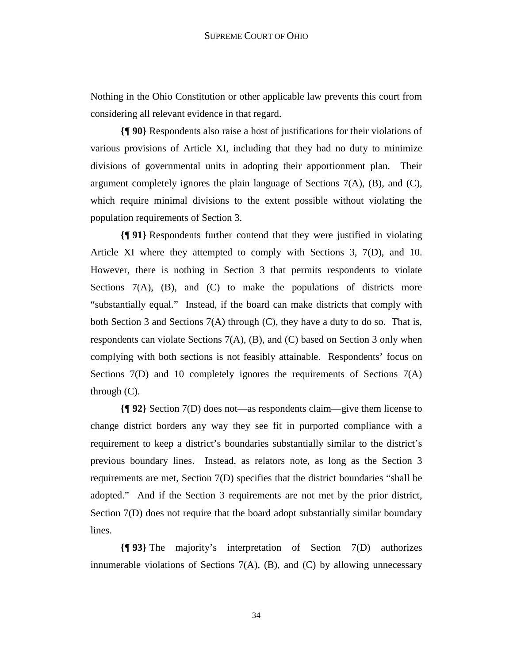Nothing in the Ohio Constitution or other applicable law prevents this court from considering all relevant evidence in that regard.

**{¶ 90}** Respondents also raise a host of justifications for their violations of various provisions of Article XI, including that they had no duty to minimize divisions of governmental units in adopting their apportionment plan. Their argument completely ignores the plain language of Sections 7(A), (B), and (C), which require minimal divisions to the extent possible without violating the population requirements of Section 3.

**{¶ 91}** Respondents further contend that they were justified in violating Article XI where they attempted to comply with Sections 3, 7(D), and 10. However, there is nothing in Section 3 that permits respondents to violate Sections 7(A), (B), and (C) to make the populations of districts more "substantially equal." Instead, if the board can make districts that comply with both Section 3 and Sections  $7(A)$  through  $(C)$ , they have a duty to do so. That is, respondents can violate Sections  $7(A)$ ,  $(B)$ , and  $(C)$  based on Section 3 only when complying with both sections is not feasibly attainable. Respondents' focus on Sections 7(D) and 10 completely ignores the requirements of Sections 7(A) through (C).

**{¶ 92}** Section 7(D) does not—as respondents claim—give them license to change district borders any way they see fit in purported compliance with a requirement to keep a district's boundaries substantially similar to the district's previous boundary lines. Instead, as relators note, as long as the Section 3 requirements are met, Section 7(D) specifies that the district boundaries "shall be adopted." And if the Section 3 requirements are not met by the prior district, Section 7(D) does not require that the board adopt substantially similar boundary lines.

**{¶ 93}** The majority's interpretation of Section 7(D) authorizes innumerable violations of Sections  $7(A)$ ,  $(B)$ , and  $(C)$  by allowing unnecessary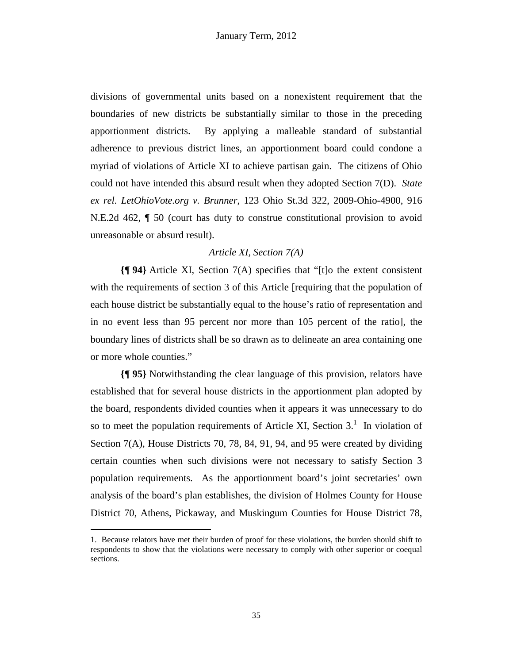divisions of governmental units based on a nonexistent requirement that the boundaries of new districts be substantially similar to those in the preceding apportionment districts. By applying a malleable standard of substantial adherence to previous district lines, an apportionment board could condone a myriad of violations of Article XI to achieve partisan gain. The citizens of Ohio could not have intended this absurd result when they adopted Section 7(D). *State ex rel. LetOhioVote.org v. Brunner*, 123 Ohio St.3d 322, 2009-Ohio-4900, 916 N.E.2d 462, ¶ 50 (court has duty to construe constitutional provision to avoid unreasonable or absurd result).

## *Article XI, Section 7(A)*

**{¶ 94}** Article XI, Section 7(A) specifies that "[t]o the extent consistent with the requirements of section 3 of this Article [requiring that the population of each house district be substantially equal to the house's ratio of representation and in no event less than 95 percent nor more than 105 percent of the ratio], the boundary lines of districts shall be so drawn as to delineate an area containing one or more whole counties."

**{¶ 95}** Notwithstanding the clear language of this provision, relators have established that for several house districts in the apportionment plan adopted by the board, respondents divided counties when it appears it was unnecessary to do so to meet the population requirements of Article XI, Section  $3<sup>1</sup>$ . In violation of Section 7(A), House Districts 70, 78, 84, 91, 94, and 95 were created by dividing certain counties when such divisions were not necessary to satisfy Section 3 population requirements. As the apportionment board's joint secretaries' own analysis of the board's plan establishes, the division of Holmes County for House District 70, Athens, Pickaway, and Muskingum Counties for House District 78,

-

<sup>1.</sup> Because relators have met their burden of proof for these violations, the burden should shift to respondents to show that the violations were necessary to comply with other superior or coequal sections.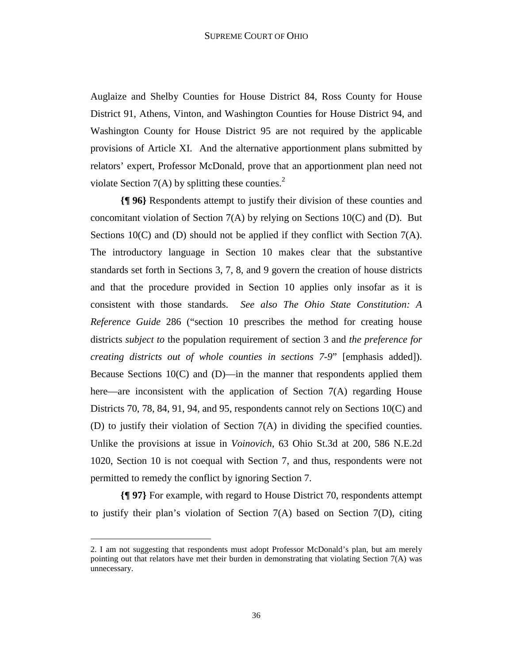Auglaize and Shelby Counties for House District 84, Ross County for House District 91, Athens, Vinton, and Washington Counties for House District 94, and Washington County for House District 95 are not required by the applicable provisions of Article XI. And the alternative apportionment plans submitted by relators' expert, Professor McDonald, prove that an apportionment plan need not violate Section 7(A) by splitting these counties.<sup>2</sup>

**{¶ 96}** Respondents attempt to justify their division of these counties and concomitant violation of Section 7(A) by relying on Sections 10(C) and (D). But Sections 10(C) and (D) should not be applied if they conflict with Section 7(A). The introductory language in Section 10 makes clear that the substantive standards set forth in Sections 3, 7, 8, and 9 govern the creation of house districts and that the procedure provided in Section 10 applies only insofar as it is consistent with those standards. *See also The Ohio State Constitution: A Reference Guide* 286 ("section 10 prescribes the method for creating house districts *subject to* the population requirement of section 3 and *the preference for creating districts out of whole counties in sections 7-9*" [emphasis added]). Because Sections  $10(C)$  and  $(D)$ —in the manner that respondents applied them here—are inconsistent with the application of Section 7(A) regarding House Districts 70, 78, 84, 91, 94, and 95, respondents cannot rely on Sections 10(C) and (D) to justify their violation of Section 7(A) in dividing the specified counties. Unlike the provisions at issue in *Voinovich*, 63 Ohio St.3d at 200, 586 N.E.2d 1020, Section 10 is not coequal with Section 7, and thus, respondents were not permitted to remedy the conflict by ignoring Section 7.

**{¶ 97}** For example, with regard to House District 70, respondents attempt to justify their plan's violation of Section 7(A) based on Section 7(D), citing

 $\overline{a}$ 

<sup>2.</sup> I am not suggesting that respondents must adopt Professor McDonald's plan, but am merely pointing out that relators have met their burden in demonstrating that violating Section 7(A) was unnecessary.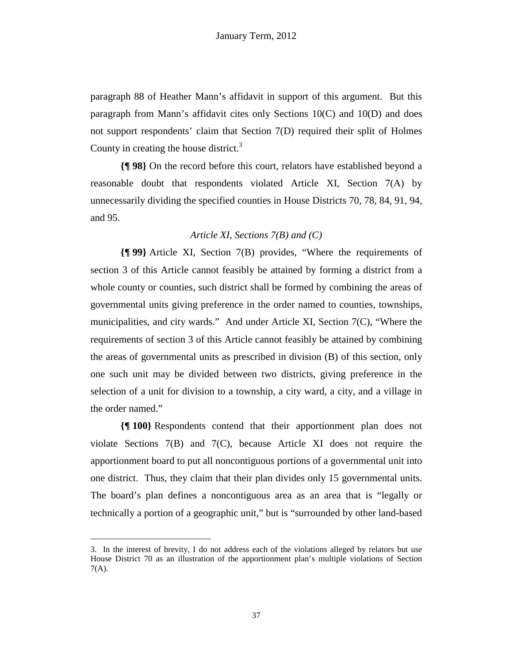paragraph 88 of Heather Mann's affidavit in support of this argument. But this paragraph from Mann's affidavit cites only Sections 10(C) and 10(D) and does not support respondents' claim that Section 7(D) required their split of Holmes County in creating the house district. $3$ 

**{¶ 98}** On the record before this court, relators have established beyond a reasonable doubt that respondents violated Article XI, Section 7(A) by unnecessarily dividing the specified counties in House Districts 70, 78, 84, 91, 94, and 95.

# *Article XI, Sections 7(B) and (C)*

**{¶ 99}** Article XI, Section 7(B) provides, "Where the requirements of section 3 of this Article cannot feasibly be attained by forming a district from a whole county or counties, such district shall be formed by combining the areas of governmental units giving preference in the order named to counties, townships, municipalities, and city wards." And under Article XI, Section 7(C), "Where the requirements of section 3 of this Article cannot feasibly be attained by combining the areas of governmental units as prescribed in division (B) of this section, only one such unit may be divided between two districts, giving preference in the selection of a unit for division to a township, a city ward, a city, and a village in the order named."

**{¶ 100}** Respondents contend that their apportionment plan does not violate Sections 7(B) and 7(C), because Article XI does not require the apportionment board to put all noncontiguous portions of a governmental unit into one district. Thus, they claim that their plan divides only 15 governmental units. The board's plan defines a noncontiguous area as an area that is "legally or technically a portion of a geographic unit," but is "surrounded by other land-based

 $\overline{a}$ 

<sup>3.</sup> In the interest of brevity, I do not address each of the violations alleged by relators but use House District 70 as an illustration of the apportionment plan's multiple violations of Section 7(A).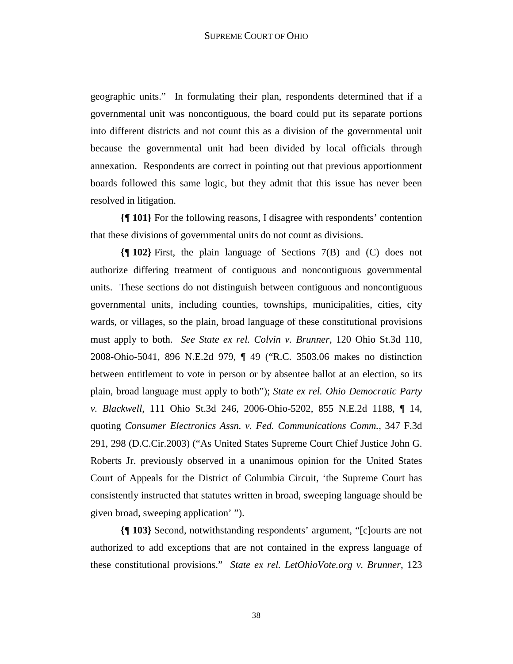geographic units." In formulating their plan, respondents determined that if a governmental unit was noncontiguous, the board could put its separate portions into different districts and not count this as a division of the governmental unit because the governmental unit had been divided by local officials through annexation. Respondents are correct in pointing out that previous apportionment boards followed this same logic, but they admit that this issue has never been resolved in litigation.

**{¶ 101}** For the following reasons, I disagree with respondents' contention that these divisions of governmental units do not count as divisions.

**{¶ 102}** First, the plain language of Sections 7(B) and (C) does not authorize differing treatment of contiguous and noncontiguous governmental units. These sections do not distinguish between contiguous and noncontiguous governmental units, including counties, townships, municipalities, cities, city wards, or villages, so the plain, broad language of these constitutional provisions must apply to both. *See State ex rel. Colvin v. Brunner*, 120 Ohio St.3d 110, 2008-Ohio-5041, 896 N.E.2d 979, ¶ 49 ("R.C. 3503.06 makes no distinction between entitlement to vote in person or by absentee ballot at an election, so its plain, broad language must apply to both"); *State ex rel. Ohio Democratic Party v. Blackwell*, 111 Ohio St.3d 246, 2006-Ohio-5202, 855 N.E.2d 1188, ¶ 14, quoting *Consumer Electronics Assn. v. Fed. Communications Comm.*, 347 F.3d 291, 298 (D.C.Cir.2003) ("As United States Supreme Court Chief Justice John G. Roberts Jr. previously observed in a unanimous opinion for the United States Court of Appeals for the District of Columbia Circuit, 'the Supreme Court has consistently instructed that statutes written in broad, sweeping language should be given broad, sweeping application' ").

**{¶ 103}** Second, notwithstanding respondents' argument, "[c]ourts are not authorized to add exceptions that are not contained in the express language of these constitutional provisions." *State ex rel. LetOhioVote.org v. Brunner*, 123

38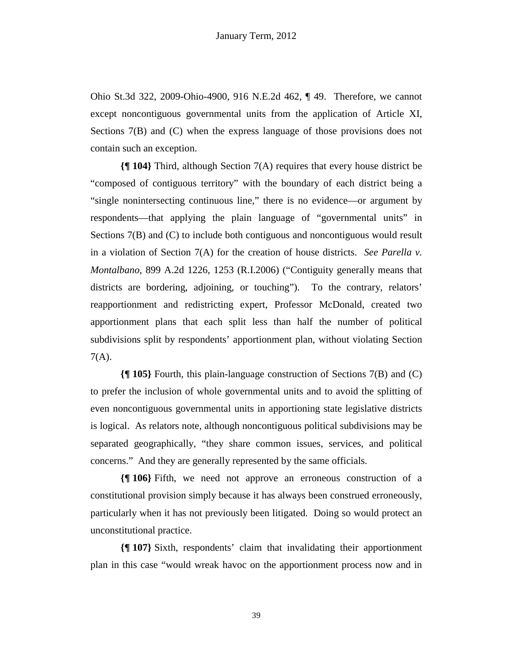Ohio St.3d 322, 2009-Ohio-4900, 916 N.E.2d 462, ¶ 49. Therefore, we cannot except noncontiguous governmental units from the application of Article XI, Sections 7(B) and (C) when the express language of those provisions does not contain such an exception.

**{¶ 104}** Third, although Section 7(A) requires that every house district be "composed of contiguous territory" with the boundary of each district being a "single nonintersecting continuous line," there is no evidence—or argument by respondents—that applying the plain language of "governmental units" in Sections 7(B) and (C) to include both contiguous and noncontiguous would result in a violation of Section 7(A) for the creation of house districts. *See Parella v. Montalbano*, 899 A.2d 1226, 1253 (R.I.2006) ("Contiguity generally means that districts are bordering, adjoining, or touching"). To the contrary, relators' reapportionment and redistricting expert, Professor McDonald, created two apportionment plans that each split less than half the number of political subdivisions split by respondents' apportionment plan, without violating Section  $7(A)$ .

**{¶ 105}** Fourth, this plain-language construction of Sections 7(B) and (C) to prefer the inclusion of whole governmental units and to avoid the splitting of even noncontiguous governmental units in apportioning state legislative districts is logical. As relators note, although noncontiguous political subdivisions may be separated geographically, "they share common issues, services, and political concerns." And they are generally represented by the same officials.

**{¶ 106}** Fifth, we need not approve an erroneous construction of a constitutional provision simply because it has always been construed erroneously, particularly when it has not previously been litigated. Doing so would protect an unconstitutional practice.

**{¶ 107}** Sixth, respondents' claim that invalidating their apportionment plan in this case "would wreak havoc on the apportionment process now and in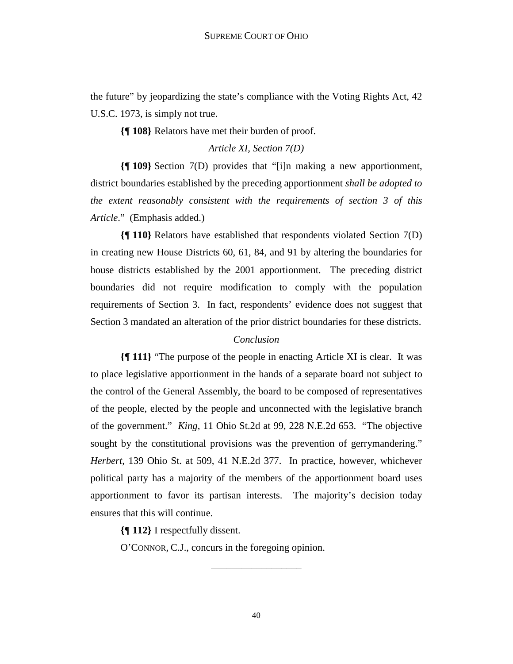the future" by jeopardizing the state's compliance with the Voting Rights Act, 42 U.S.C. 1973, is simply not true.

**{¶ 108}** Relators have met their burden of proof.

*Article XI, Section 7(D)* 

**{¶ 109}** Section 7(D) provides that "[i]n making a new apportionment, district boundaries established by the preceding apportionment *shall be adopted to the extent reasonably consistent with the requirements of section 3 of this Article*." (Emphasis added.)

**{¶ 110}** Relators have established that respondents violated Section 7(D) in creating new House Districts 60, 61, 84, and 91 by altering the boundaries for house districts established by the 2001 apportionment. The preceding district boundaries did not require modification to comply with the population requirements of Section 3. In fact, respondents' evidence does not suggest that Section 3 mandated an alteration of the prior district boundaries for these districts.

# *Conclusion*

**{¶ 111}** "The purpose of the people in enacting Article XI is clear. It was to place legislative apportionment in the hands of a separate board not subject to the control of the General Assembly, the board to be composed of representatives of the people, elected by the people and unconnected with the legislative branch of the government." *King*, 11 Ohio St.2d at 99, 228 N.E.2d 653. "The objective sought by the constitutional provisions was the prevention of gerrymandering." *Herbert*, 139 Ohio St. at 509, 41 N.E.2d 377. In practice, however, whichever political party has a majority of the members of the apportionment board uses apportionment to favor its partisan interests. The majority's decision today ensures that this will continue.

**{¶ 112}** I respectfully dissent.

O'CONNOR, C.J., concurs in the foregoing opinion.

\_\_\_\_\_\_\_\_\_\_\_\_\_\_\_\_\_\_